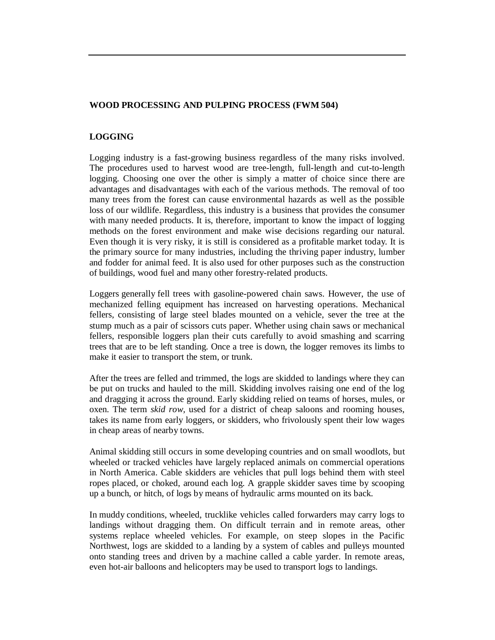#### **WOOD PROCESSING AND PULPING PROCESS (FWM 504)**

#### **LOGGING**

Logging industry is a fast-growing business regardless of the many risks involved. The procedures used to harvest wood are tree-length, full-length and cut-to-length logging. Choosing one over the other is simply a matter of choice since there are advantages and disadvantages with each of the various methods. The removal of too many trees from the forest can cause environmental hazards as well as the possible loss of our wildlife. Regardless, this industry is a business that provides the consumer with many needed products. It is, therefore, important to know the impact of logging methods on the forest environment and make wise decisions regarding our natural. Even though it is very risky, it is still is considered as a profitable market today. It is the primary source for many industries, including the thriving paper industry, lumber and fodder for animal feed. It is also used for other purposes such as the construction of buildings, wood fuel and many other forestry-related products.

Loggers generally fell trees with gasoline-powered chain saws. However, the use of mechanized felling equipment has increased on harvesting operations. Mechanical fellers, consisting of large steel blades mounted on a vehicle, sever the tree at the stump much as a pair of scissors cuts paper. Whether using chain saws or mechanical fellers, responsible loggers plan their cuts carefully to avoid smashing and scarring trees that are to be left standing. Once a tree is down, the logger removes its limbs to make it easier to transport the stem, or trunk.

After the trees are felled and trimmed, the logs are skidded to landings where they can be put on trucks and hauled to the mill. Skidding involves raising one end of the log and dragging it across the ground. Early skidding relied on teams of horses, mules, or oxen. The term *skid row,* used for a district of cheap saloons and rooming houses, takes its name from early loggers, or skidders, who frivolously spent their low wages in cheap areas of nearby towns.

Animal skidding still occurs in some developing countries and on small woodlots, but wheeled or tracked vehicles have largely replaced animals on commercial operations in North America. Cable skidders are vehicles that pull logs behind them with steel ropes placed, or choked, around each log. A grapple skidder saves time by scooping up a bunch, or hitch, of logs by means of hydraulic arms mounted on its back.

In muddy conditions, wheeled, trucklike vehicles called forwarders may carry logs to landings without dragging them. On difficult terrain and in remote areas, other systems replace wheeled vehicles. For example, on steep slopes in the Pacific Northwest, logs are skidded to a landing by a system of cables and pulleys mounted onto standing trees and driven by a machine called a cable yarder. In remote areas, even hot-air balloons and helicopters may be used to transport logs to landings.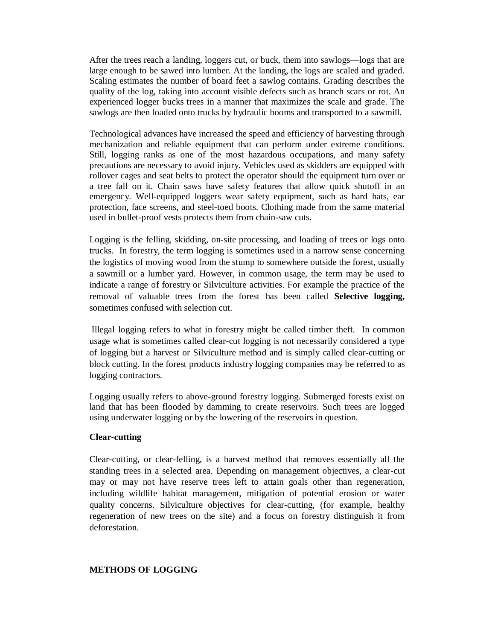After the trees reach a landing, loggers cut, or buck, them into sawlogs—logs that are large enough to be sawed into lumber. At the landing, the logs are scaled and graded. Scaling estimates the number of board feet a sawlog contains. Grading describes the quality of the log, taking into account visible defects such as branch scars or rot. An experienced logger bucks trees in a manner that maximizes the scale and grade. The sawlogs are then loaded onto trucks by hydraulic booms and transported to a sawmill.

Technological advances have increased the speed and efficiency of harvesting through mechanization and reliable equipment that can perform under extreme conditions. Still, logging ranks as one of the most hazardous occupations, and many safety precautions are necessary to avoid injury. Vehicles used as skidders are equipped with rollover cages and seat belts to protect the operator should the equipment turn over or a tree fall on it. Chain saws have safety features that allow quick shutoff in an emergency. Well-equipped loggers wear safety equipment, such as hard hats, ear protection, face screens, and steel-toed boots. Clothing made from the same material used in bullet-proof vests protects them from chain-saw cuts.

Logging is the felling, skidding, on-site processing, and loading of trees or logs onto trucks. In forestry, the term logging is sometimes used in a narrow sense concerning the logistics of moving wood from the stump to somewhere outside the forest, usually a sawmill or a lumber yard. However, in common usage, the term may be used to indicate a range of forestry or Silviculture activities. For example the practice of the removal of valuable trees from the forest has been called **Selective logging,**  sometimes confused with selection cut.

Illegal logging refers to what in forestry might be called timber theft. In common usage what is sometimes called clear-cut logging is not necessarily considered a type of logging but a harvest or Silviculture method and is simply called clear-cutting or block cutting. In the forest products industry logging companies may be referred to as logging contractors.

Logging usually refers to above-ground forestry logging. Submerged forests exist on land that has been flooded by damming to create reservoirs. Such trees are logged using underwater logging or by the lowering of the reservoirs in question.

#### **Clear-cutting**

Clear-cutting, or clear-felling, is a harvest method that removes essentially all the standing trees in a selected area. Depending on management objectives, a clear-cut may or may not have reserve trees left to attain goals other than regeneration, including wildlife habitat management, mitigation of potential erosion or water quality concerns. Silviculture objectives for clear-cutting, (for example, healthy regeneration of new trees on the site) and a focus on forestry distinguish it from deforestation.

#### **METHODS OF LOGGING**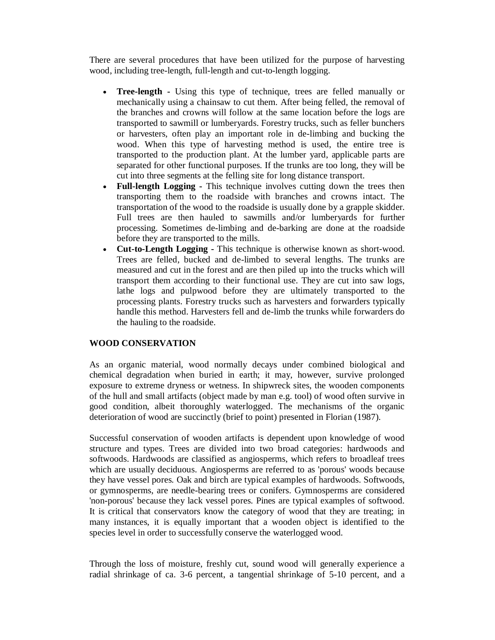There are several procedures that have been utilized for the purpose of harvesting wood, including tree-length, full-length and cut-to-length logging.

- **Tree-length -** Using this type of technique, trees are felled manually or mechanically using a chainsaw to cut them. After being felled, the removal of the branches and crowns will follow at the same location before the logs are transported to sawmill or lumberyards. Forestry trucks, such as feller bunchers or harvesters, often play an important role in de-limbing and bucking the wood. When this type of harvesting method is used, the entire tree is transported to the production plant. At the lumber yard, applicable parts are separated for other functional purposes. If the trunks are too long, they will be cut into three segments at the felling site for long distance transport.
- **Full-length Logging -** This technique involves cutting down the trees then transporting them to the roadside with branches and crowns intact. The transportation of the wood to the roadside is usually done by a grapple skidder. Full trees are then hauled to sawmills and/or lumberyards for further processing. Sometimes de-limbing and de-barking are done at the roadside before they are transported to the mills.
- **Cut-to-Length Logging -** This technique is otherwise known as short-wood. Trees are felled, bucked and de-limbed to several lengths. The trunks are measured and cut in the forest and are then piled up into the trucks which will transport them according to their functional use. They are cut into saw logs, lathe logs and pulpwood before they are ultimately transported to the processing plants. Forestry trucks such as harvesters and forwarders typically handle this method. Harvesters fell and de-limb the trunks while forwarders do the hauling to the roadside.

## **WOOD CONSERVATION**

As an organic material, wood normally decays under combined biological and chemical degradation when buried in earth; it may, however, survive prolonged exposure to extreme dryness or wetness. In shipwreck sites, the wooden components of the hull and small artifacts (object made by man e.g. tool) of wood often survive in good condition, albeit thoroughly waterlogged. The mechanisms of the organic deterioration of wood are succinctly (brief to point) presented in Florian (1987).

Successful conservation of wooden artifacts is dependent upon knowledge of wood structure and types. Trees are divided into two broad categories: hardwoods and softwoods. Hardwoods are classified as angiosperms, which refers to broadleaf trees which are usually deciduous. Angiosperms are referred to as 'porous' woods because they have vessel pores. Oak and birch are typical examples of hardwoods. Softwoods, or gymnosperms, are needle-bearing trees or conifers. Gymnosperms are considered 'non-porous' because they lack vessel pores. Pines are typical examples of softwood. It is critical that conservators know the category of wood that they are treating; in many instances, it is equally important that a wooden object is identified to the species level in order to successfully conserve the waterlogged wood.

Through the loss of moisture, freshly cut, sound wood will generally experience a radial shrinkage of ca. 3-6 percent, a tangential shrinkage of 5-10 percent, and a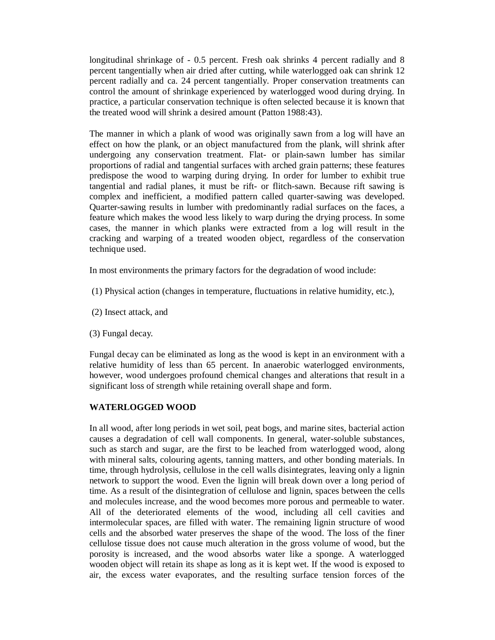longitudinal shrinkage of - 0.5 percent. Fresh oak shrinks 4 percent radially and 8 percent tangentially when air dried after cutting, while waterlogged oak can shrink 12 percent radially and ca. 24 percent tangentially. Proper conservation treatments can control the amount of shrinkage experienced by waterlogged wood during drying. In practice, a particular conservation technique is often selected because it is known that the treated wood will shrink a desired amount (Patton 1988:43).

The manner in which a plank of wood was originally sawn from a log will have an effect on how the plank, or an object manufactured from the plank, will shrink after undergoing any conservation treatment. Flat- or plain-sawn lumber has similar proportions of radial and tangential surfaces with arched grain patterns; these features predispose the wood to warping during drying. In order for lumber to exhibit true tangential and radial planes, it must be rift- or flitch-sawn. Because rift sawing is complex and inefficient, a modified pattern called quarter-sawing was developed. Quarter-sawing results in lumber with predominantly radial surfaces on the faces, a feature which makes the wood less likely to warp during the drying process. In some cases, the manner in which planks were extracted from a log will result in the cracking and warping of a treated wooden object, regardless of the conservation technique used.

In most environments the primary factors for the degradation of wood include:

(1) Physical action (changes in temperature, fluctuations in relative humidity, etc.),

- (2) Insect attack, and
- (3) Fungal decay.

Fungal decay can be eliminated as long as the wood is kept in an environment with a relative humidity of less than 65 percent. In anaerobic waterlogged environments, however, wood undergoes profound chemical changes and alterations that result in a significant loss of strength while retaining overall shape and form.

## **WATERLOGGED WOOD**

In all wood, after long periods in wet soil, peat bogs, and marine sites, bacterial action causes a degradation of cell wall components. In general, water-soluble substances, such as starch and sugar, are the first to be leached from waterlogged wood, along with mineral salts, colouring agents, tanning matters, and other bonding materials. In time, through hydrolysis, cellulose in the cell walls disintegrates, leaving only a lignin network to support the wood. Even the lignin will break down over a long period of time. As a result of the disintegration of cellulose and lignin, spaces between the cells and molecules increase, and the wood becomes more porous and permeable to water. All of the deteriorated elements of the wood, including all cell cavities and intermolecular spaces, are filled with water. The remaining lignin structure of wood cells and the absorbed water preserves the shape of the wood. The loss of the finer cellulose tissue does not cause much alteration in the gross volume of wood, but the porosity is increased, and the wood absorbs water like a sponge. A waterlogged wooden object will retain its shape as long as it is kept wet. If the wood is exposed to air, the excess water evaporates, and the resulting surface tension forces of the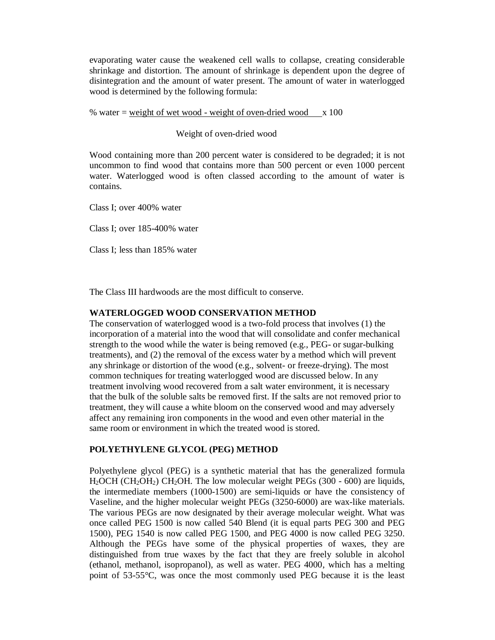evaporating water cause the weakened cell walls to collapse, creating considerable shrinkage and distortion. The amount of shrinkage is dependent upon the degree of disintegration and the amount of water present. The amount of water in waterlogged wood is determined by the following formula:

% water =  $weight\ of\ wet\ wood$  - weight of oven-dried wood  $x\ 100$ 

#### Weight of oven-dried wood

Wood containing more than 200 percent water is considered to be degraded; it is not uncommon to find wood that contains more than 500 percent or even 1000 percent water. Waterlogged wood is often classed according to the amount of water is contains.

Class I; over 400% water

Class I; over 185-400% water

Class I; less than 185% water

The Class III hardwoods are the most difficult to conserve.

#### **WATERLOGGED WOOD CONSERVATION METHOD**

The conservation of waterlogged wood is a two-fold process that involves (1) the incorporation of a material into the wood that will consolidate and confer mechanical strength to the wood while the water is being removed (e.g., PEG- or sugar-bulking treatments), and (2) the removal of the excess water by a method which will prevent any shrinkage or distortion of the wood (e.g., solvent- or freeze-drying). The most common techniques for treating waterlogged wood are discussed below. In any treatment involving wood recovered from a salt water environment, it is necessary that the bulk of the soluble salts be removed first. If the salts are not removed prior to treatment, they will cause a white bloom on the conserved wood and may adversely affect any remaining iron components in the wood and even other material in the same room or environment in which the treated wood is stored.

#### **POLYETHYLENE GLYCOL (PEG) METHOD**

Polyethylene glycol (PEG) is a synthetic material that has the generalized formula  $H<sub>2</sub>OCH (CH<sub>2</sub>OH<sub>2</sub>) CH<sub>2</sub>OH.$  The low molecular weight PEGs (300 - 600) are liquids, the intermediate members (1000-1500) are semi-liquids or have the consistency of Vaseline, and the higher molecular weight PEGs (3250-6000) are wax-like materials. The various PEGs are now designated by their average molecular weight. What was once called PEG 1500 is now called 540 Blend (it is equal parts PEG 300 and PEG 1500), PEG 1540 is now called PEG 1500, and PEG 4000 is now called PEG 3250. Although the PEGs have some of the physical properties of waxes, they are distinguished from true waxes by the fact that they are freely soluble in alcohol (ethanol, methanol, isopropanol), as well as water. PEG 4000, which has a melting point of 53-55°C, was once the most commonly used PEG because it is the least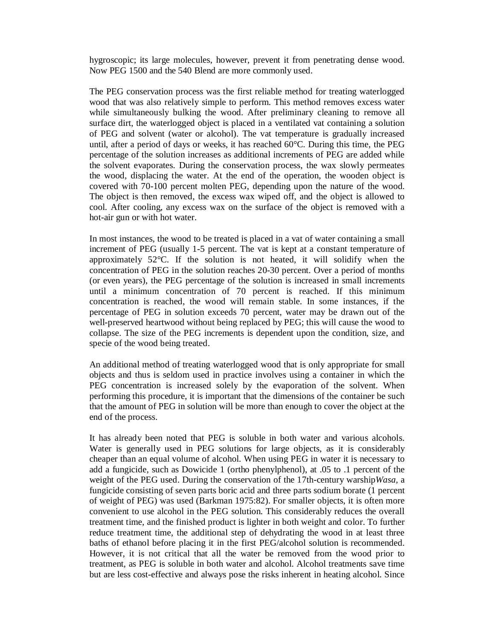hygroscopic; its large molecules, however, prevent it from penetrating dense wood. Now PEG 1500 and the 540 Blend are more commonly used.

The PEG conservation process was the first reliable method for treating waterlogged wood that was also relatively simple to perform. This method removes excess water while simultaneously bulking the wood. After preliminary cleaning to remove all surface dirt, the waterlogged object is placed in a ventilated vat containing a solution of PEG and solvent (water or alcohol). The vat temperature is gradually increased until, after a period of days or weeks, it has reached  $60^{\circ}$ C. During this time, the PEG percentage of the solution increases as additional increments of PEG are added while the solvent evaporates. During the conservation process, the wax slowly permeates the wood, displacing the water. At the end of the operation, the wooden object is covered with 70-100 percent molten PEG, depending upon the nature of the wood. The object is then removed, the excess wax wiped off, and the object is allowed to cool. After cooling, any excess wax on the surface of the object is removed with a hot-air gun or with hot water.

In most instances, the wood to be treated is placed in a vat of water containing a small increment of PEG (usually 1-5 percent. The vat is kept at a constant temperature of approximately 52°C. If the solution is not heated, it will solidify when the concentration of PEG in the solution reaches 20-30 percent. Over a period of months (or even years), the PEG percentage of the solution is increased in small increments until a minimum concentration of 70 percent is reached. If this minimum concentration is reached, the wood will remain stable. In some instances, if the percentage of PEG in solution exceeds 70 percent, water may be drawn out of the well-preserved heartwood without being replaced by PEG; this will cause the wood to collapse. The size of the PEG increments is dependent upon the condition, size, and specie of the wood being treated.

An additional method of treating waterlogged wood that is only appropriate for small objects and thus is seldom used in practice involves using a container in which the PEG concentration is increased solely by the evaporation of the solvent. When performing this procedure, it is important that the dimensions of the container be such that the amount of PEG in solution will be more than enough to cover the object at the end of the process.

It has already been noted that PEG is soluble in both water and various alcohols. Water is generally used in PEG solutions for large objects, as it is considerably cheaper than an equal volume of alcohol. When using PEG in water it is necessary to add a fungicide, such as Dowicide 1 (ortho phenylphenol), at .05 to .1 percent of the weight of the PEG used. During the conservation of the 17th-century warship*Wasa,* a fungicide consisting of seven parts boric acid and three parts sodium borate (1 percent of weight of PEG) was used (Barkman 1975:82). For smaller objects, it is often more convenient to use alcohol in the PEG solution. This considerably reduces the overall treatment time, and the finished product is lighter in both weight and color. To further reduce treatment time, the additional step of dehydrating the wood in at least three baths of ethanol before placing it in the first PEG/alcohol solution is recommended. However, it is not critical that all the water be removed from the wood prior to treatment, as PEG is soluble in both water and alcohol. Alcohol treatments save time but are less cost-effective and always pose the risks inherent in heating alcohol. Since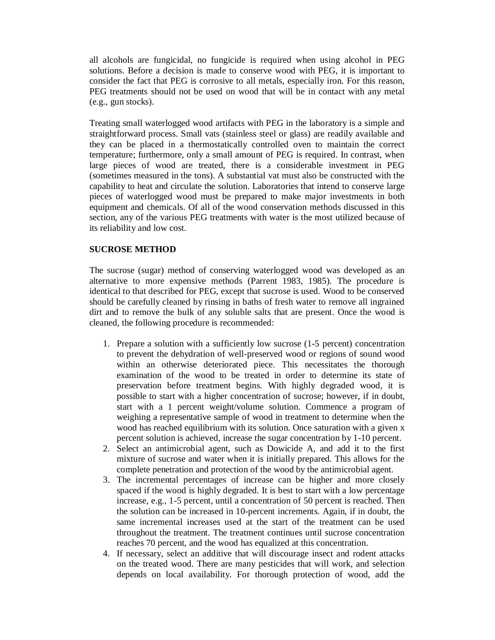all alcohols are fungicidal, no fungicide is required when using alcohol in PEG solutions. Before a decision is made to conserve wood with PEG, it is important to consider the fact that PEG is corrosive to all metals, especially iron. For this reason, PEG treatments should not be used on wood that will be in contact with any metal (e.g., gun stocks).

Treating small waterlogged wood artifacts with PEG in the laboratory is a simple and straightforward process. Small vats (stainless steel or glass) are readily available and they can be placed in a thermostatically controlled oven to maintain the correct temperature; furthermore, only a small amount of PEG is required. In contrast, when large pieces of wood are treated, there is a considerable investment in PEG (sometimes measured in the tons). A substantial vat must also be constructed with the capability to heat and circulate the solution. Laboratories that intend to conserve large pieces of waterlogged wood must be prepared to make major investments in both equipment and chemicals. Of all of the wood conservation methods discussed in this section, any of the various PEG treatments with water is the most utilized because of its reliability and low cost.

## **SUCROSE METHOD**

The sucrose (sugar) method of conserving waterlogged wood was developed as an alternative to more expensive methods (Parrent 1983, 1985). The procedure is identical to that described for PEG, except that sucrose is used. Wood to be conserved should be carefully cleaned by rinsing in baths of fresh water to remove all ingrained dirt and to remove the bulk of any soluble salts that are present. Once the wood is cleaned, the following procedure is recommended:

- 1. Prepare a solution with a sufficiently low sucrose (1-5 percent) concentration to prevent the dehydration of well-preserved wood or regions of sound wood within an otherwise deteriorated piece. This necessitates the thorough examination of the wood to be treated in order to determine its state of preservation before treatment begins. With highly degraded wood, it is possible to start with a higher concentration of sucrose; however, if in doubt, start with a 1 percent weight/volume solution. Commence a program of weighing a representative sample of wood in treatment to determine when the wood has reached equilibrium with its solution. Once saturation with a given x percent solution is achieved, increase the sugar concentration by 1-10 percent.
- 2. Select an antimicrobial agent, such as Dowicide A, and add it to the first mixture of sucrose and water when it is initially prepared. This allows for the complete penetration and protection of the wood by the antimicrobial agent.
- 3. The incremental percentages of increase can be higher and more closely spaced if the wood is highly degraded. It is best to start with a low percentage increase, e.g., 1-5 percent, until a concentration of 50 percent is reached. Then the solution can be increased in 10-percent increments. Again, if in doubt, the same incremental increases used at the start of the treatment can be used throughout the treatment. The treatment continues until sucrose concentration reaches 70 percent, and the wood has equalized at this concentration.
- 4. If necessary, select an additive that will discourage insect and rodent attacks on the treated wood. There are many pesticides that will work, and selection depends on local availability. For thorough protection of wood, add the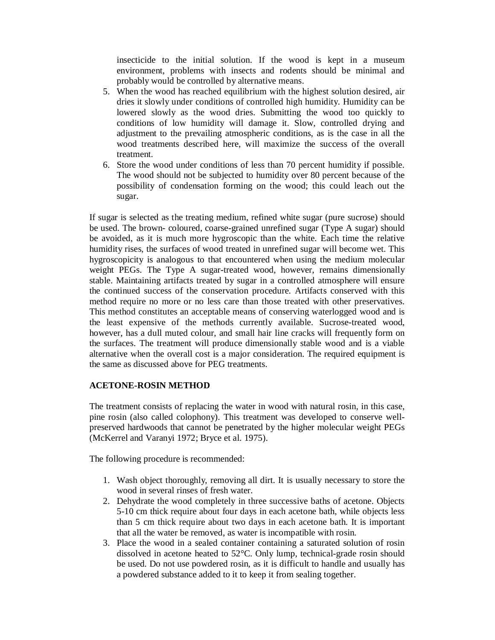insecticide to the initial solution. If the wood is kept in a museum environment, problems with insects and rodents should be minimal and probably would be controlled by alternative means.

- 5. When the wood has reached equilibrium with the highest solution desired, air dries it slowly under conditions of controlled high humidity. Humidity can be lowered slowly as the wood dries. Submitting the wood too quickly to conditions of low humidity will damage it. Slow, controlled drying and adjustment to the prevailing atmospheric conditions, as is the case in all the wood treatments described here, will maximize the success of the overall treatment.
- 6. Store the wood under conditions of less than 70 percent humidity if possible. The wood should not be subjected to humidity over 80 percent because of the possibility of condensation forming on the wood; this could leach out the sugar.

If sugar is selected as the treating medium, refined white sugar (pure sucrose) should be used. The brown- coloured, coarse-grained unrefined sugar (Type A sugar) should be avoided, as it is much more hygroscopic than the white. Each time the relative humidity rises, the surfaces of wood treated in unrefined sugar will become wet. This hygroscopicity is analogous to that encountered when using the medium molecular weight PEGs. The Type A sugar-treated wood, however, remains dimensionally stable. Maintaining artifacts treated by sugar in a controlled atmosphere will ensure the continued success of the conservation procedure. Artifacts conserved with this method require no more or no less care than those treated with other preservatives. This method constitutes an acceptable means of conserving waterlogged wood and is the least expensive of the methods currently available. Sucrose-treated wood, however, has a dull muted colour, and small hair line cracks will frequently form on the surfaces. The treatment will produce dimensionally stable wood and is a viable alternative when the overall cost is a major consideration. The required equipment is the same as discussed above for PEG treatments.

## **ACETONE-ROSIN METHOD**

The treatment consists of replacing the water in wood with natural rosin, in this case, pine rosin (also called colophony). This treatment was developed to conserve wellpreserved hardwoods that cannot be penetrated by the higher molecular weight PEGs (McKerrel and Varanyi 1972; Bryce et al. 1975).

The following procedure is recommended:

- 1. Wash object thoroughly, removing all dirt. It is usually necessary to store the wood in several rinses of fresh water.
- 2. Dehydrate the wood completely in three successive baths of acetone. Objects 5-10 cm thick require about four days in each acetone bath, while objects less than 5 cm thick require about two days in each acetone bath. It is important that all the water be removed, as water is incompatible with rosin.
- 3. Place the wood in a sealed container containing a saturated solution of rosin dissolved in acetone heated to 52°C. Only lump, technical-grade rosin should be used. Do not use powdered rosin, as it is difficult to handle and usually has a powdered substance added to it to keep it from sealing together.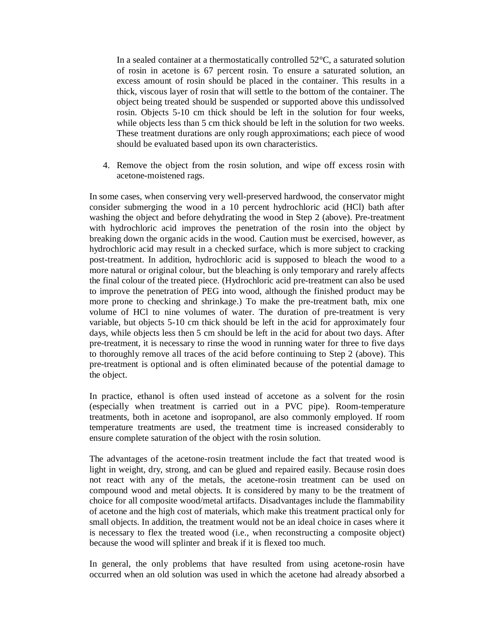In a sealed container at a thermostatically controlled 52°C, a saturated solution of rosin in acetone is 67 percent rosin. To ensure a saturated solution, an excess amount of rosin should be placed in the container. This results in a thick, viscous layer of rosin that will settle to the bottom of the container. The object being treated should be suspended or supported above this undissolved rosin. Objects 5-10 cm thick should be left in the solution for four weeks, while objects less than 5 cm thick should be left in the solution for two weeks. These treatment durations are only rough approximations; each piece of wood should be evaluated based upon its own characteristics.

4. Remove the object from the rosin solution, and wipe off excess rosin with acetone-moistened rags.

In some cases, when conserving very well-preserved hardwood, the conservator might consider submerging the wood in a 10 percent hydrochloric acid (HCl) bath after washing the object and before dehydrating the wood in Step 2 (above). Pre-treatment with hydrochloric acid improves the penetration of the rosin into the object by breaking down the organic acids in the wood. Caution must be exercised, however, as hydrochloric acid may result in a checked surface, which is more subject to cracking post-treatment. In addition, hydrochloric acid is supposed to bleach the wood to a more natural or original colour, but the bleaching is only temporary and rarely affects the final colour of the treated piece. (Hydrochloric acid pre-treatment can also be used to improve the penetration of PEG into wood, although the finished product may be more prone to checking and shrinkage.) To make the pre-treatment bath, mix one volume of HCl to nine volumes of water. The duration of pre-treatment is very variable, but objects 5-10 cm thick should be left in the acid for approximately four days, while objects less then 5 cm should be left in the acid for about two days. After pre-treatment, it is necessary to rinse the wood in running water for three to five days to thoroughly remove all traces of the acid before continuing to Step 2 (above). This pre-treatment is optional and is often eliminated because of the potential damage to the object.

In practice, ethanol is often used instead of accetone as a solvent for the rosin (especially when treatment is carried out in a PVC pipe). Room-temperature treatments, both in acetone and isopropanol, are also commonly employed. If room temperature treatments are used, the treatment time is increased considerably to ensure complete saturation of the object with the rosin solution.

The advantages of the acetone-rosin treatment include the fact that treated wood is light in weight, dry, strong, and can be glued and repaired easily. Because rosin does not react with any of the metals, the acetone-rosin treatment can be used on compound wood and metal objects. It is considered by many to be the treatment of choice for all composite wood/metal artifacts. Disadvantages include the flammability of acetone and the high cost of materials, which make this treatment practical only for small objects. In addition, the treatment would not be an ideal choice in cases where it is necessary to flex the treated wood (i.e., when reconstructing a composite object) because the wood will splinter and break if it is flexed too much.

In general, the only problems that have resulted from using acetone-rosin have occurred when an old solution was used in which the acetone had already absorbed a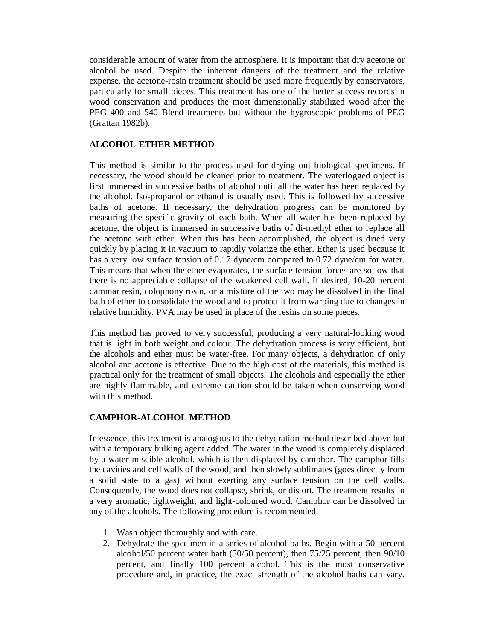considerable amount of water from the atmosphere. It is important that dry acetone or alcohol be used. Despite the inherent dangers of the treatment and the relative expense, the acetone-rosin treatment should be used more frequently by conservators, particularly for small pieces. This treatment has one of the better success records in wood conservation and produces the most dimensionally stabilized wood after the PEG 400 and 540 Blend treatments but without the hygroscopic problems of PEG (Grattan 1982b).

## **ALCOHOL-ETHER METHOD**

This method is similar to the process used for drying out biological specimens. If necessary, the wood should be cleaned prior to treatment. The waterlogged object is first immersed in successive baths of alcohol until all the water has been replaced by the alcohol. Iso-propanol or ethanol is usually used. This is followed by successive baths of acetone. If necessary, the dehydration progress can be monitored by measuring the specific gravity of each bath. When all water has been replaced by acetone, the object is immersed in successive baths of di-methyl ether to replace all the acetone with ether. When this has been accomplished, the object is dried very quickly by placing it in vacuum to rapidly volatize the ether. Ether is used because it has a very low surface tension of 0.17 dyne/cm compared to 0.72 dyne/cm for water. This means that when the ether evaporates, the surface tension forces are so low that there is no appreciable collapse of the weakened cell wall. If desired, 10-20 percent dammar resin, colophony rosin, or a mixture of the two may be dissolved in the final bath of ether to consolidate the wood and to protect it from warping due to changes in relative humidity. PVA may be used in place of the resins on some pieces.

This method has proved to very successful, producing a very natural-looking wood that is light in both weight and colour. The dehydration process is very efficient, but the alcohols and ether must be water-free. For many objects, a dehydration of only alcohol and acetone is effective. Due to the high cost of the materials, this method is practical only for the treatment of small objects. The alcohols and especially the ether are highly flammable, and extreme caution should be taken when conserving wood with this method.

## **CAMPHOR-ALCOHOL METHOD**

In essence, this treatment is analogous to the dehydration method described above but with a temporary bulking agent added. The water in the wood is completely displaced by a water-miscible alcohol, which is then displaced by camphor. The camphor fills the cavities and cell walls of the wood, and then slowly sublimates (goes directly from a solid state to a gas) without exerting any surface tension on the cell walls. Consequently, the wood does not collapse, shrink, or distort. The treatment results in a very aromatic, lightweight, and light-coloured wood. Camphor can be dissolved in any of the alcohols. The following procedure is recommended.

- 1. Wash object thoroughly and with care.
- 2. Dehydrate the specimen in a series of alcohol baths. Begin with a 50 percent alcohol/50 percent water bath (50/50 percent), then 75/25 percent, then 90/10 percent, and finally 100 percent alcohol. This is the most conservative procedure and, in practice, the exact strength of the alcohol baths can vary.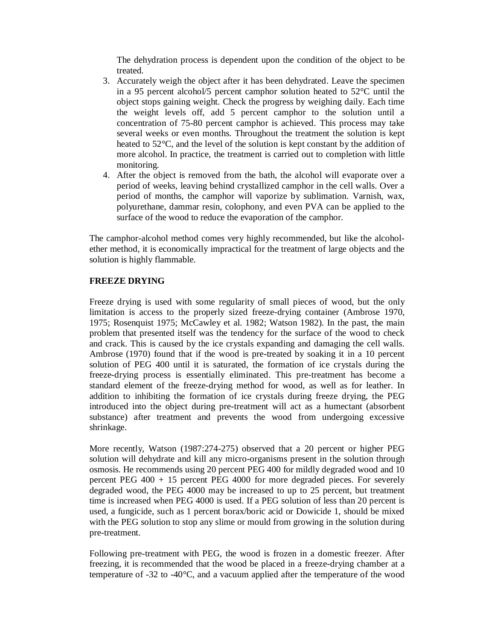The dehydration process is dependent upon the condition of the object to be treated.

- 3. Accurately weigh the object after it has been dehydrated. Leave the specimen in a 95 percent alcohol/5 percent camphor solution heated to 52°C until the object stops gaining weight. Check the progress by weighing daily. Each time the weight levels off, add 5 percent camphor to the solution until a concentration of 75-80 percent camphor is achieved. This process may take several weeks or even months. Throughout the treatment the solution is kept heated to 52°C, and the level of the solution is kept constant by the addition of more alcohol. In practice, the treatment is carried out to completion with little monitoring.
- 4. After the object is removed from the bath, the alcohol will evaporate over a period of weeks, leaving behind crystallized camphor in the cell walls. Over a period of months, the camphor will vaporize by sublimation. Varnish, wax, polyurethane, dammar resin, colophony, and even PVA can be applied to the surface of the wood to reduce the evaporation of the camphor.

The camphor-alcohol method comes very highly recommended, but like the alcoholether method, it is economically impractical for the treatment of large objects and the solution is highly flammable.

## **FREEZE DRYING**

Freeze drying is used with some regularity of small pieces of wood, but the only limitation is access to the properly sized freeze-drying container (Ambrose 1970, 1975; Rosenquist 1975; McCawley et al. 1982; Watson 1982). In the past, the main problem that presented itself was the tendency for the surface of the wood to check and crack. This is caused by the ice crystals expanding and damaging the cell walls. Ambrose (1970) found that if the wood is pre-treated by soaking it in a 10 percent solution of PEG 400 until it is saturated, the formation of ice crystals during the freeze-drying process is essentially eliminated. This pre-treatment has become a standard element of the freeze-drying method for wood, as well as for leather. In addition to inhibiting the formation of ice crystals during freeze drying, the PEG introduced into the object during pre-treatment will act as a humectant (absorbent substance) after treatment and prevents the wood from undergoing excessive shrinkage.

More recently, Watson (1987:274-275) observed that a 20 percent or higher PEG solution will dehydrate and kill any micro-organisms present in the solution through osmosis. He recommends using 20 percent PEG 400 for mildly degraded wood and 10 percent PEG 400 + 15 percent PEG 4000 for more degraded pieces. For severely degraded wood, the PEG 4000 may be increased to up to 25 percent, but treatment time is increased when PEG 4000 is used. If a PEG solution of less than 20 percent is used, a fungicide, such as 1 percent borax/boric acid or Dowicide 1, should be mixed with the PEG solution to stop any slime or mould from growing in the solution during pre-treatment.

Following pre-treatment with PEG, the wood is frozen in a domestic freezer. After freezing, it is recommended that the wood be placed in a freeze-drying chamber at a temperature of -32 to -40°C, and a vacuum applied after the temperature of the wood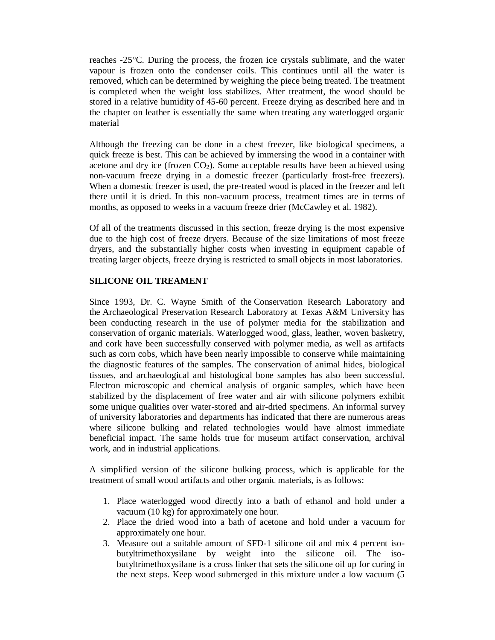reaches -25°C. During the process, the frozen ice crystals sublimate, and the water vapour is frozen onto the condenser coils. This continues until all the water is removed, which can be determined by weighing the piece being treated. The treatment is completed when the weight loss stabilizes. After treatment, the wood should be stored in a relative humidity of 45-60 percent. Freeze drying as described here and in the chapter on leather is essentially the same when treating any waterlogged organic material

Although the freezing can be done in a chest freezer, like biological specimens, a quick freeze is best. This can be achieved by immersing the wood in a container with acetone and dry ice (frozen  $CO<sub>2</sub>$ ). Some acceptable results have been achieved using non-vacuum freeze drying in a domestic freezer (particularly frost-free freezers). When a domestic freezer is used, the pre-treated wood is placed in the freezer and left there until it is dried. In this non-vacuum process, treatment times are in terms of months, as opposed to weeks in a vacuum freeze drier (McCawley et al. 1982).

Of all of the treatments discussed in this section, freeze drying is the most expensive due to the high cost of freeze dryers. Because of the size limitations of most freeze dryers, and the substantially higher costs when investing in equipment capable of treating larger objects, freeze drying is restricted to small objects in most laboratories.

## **SILICONE OIL TREAMENT**

Since 1993, Dr. C. Wayne Smith of the Conservation Research Laboratory and the Archaeological Preservation Research Laboratory at Texas A&M University has been conducting research in the use of polymer media for the stabilization and conservation of organic materials. Waterlogged wood, glass, leather, woven basketry, and cork have been successfully conserved with polymer media, as well as artifacts such as corn cobs, which have been nearly impossible to conserve while maintaining the diagnostic features of the samples. The conservation of animal hides, biological tissues, and archaeological and histological bone samples has also been successful. Electron microscopic and chemical analysis of organic samples, which have been stabilized by the displacement of free water and air with silicone polymers exhibit some unique qualities over water-stored and air-dried specimens. An informal survey of university laboratories and departments has indicated that there are numerous areas where silicone bulking and related technologies would have almost immediate beneficial impact. The same holds true for museum artifact conservation, archival work, and in industrial applications.

A simplified version of the silicone bulking process, which is applicable for the treatment of small wood artifacts and other organic materials, is as follows:

- 1. Place waterlogged wood directly into a bath of ethanol and hold under a vacuum (10 kg) for approximately one hour.
- 2. Place the dried wood into a bath of acetone and hold under a vacuum for approximately one hour.
- 3. Measure out a suitable amount of SFD-1 silicone oil and mix 4 percent isobutyltrimethoxysilane by weight into the silicone oil. The isobutyltrimethoxysilane is a cross linker that sets the silicone oil up for curing in the next steps. Keep wood submerged in this mixture under a low vacuum (5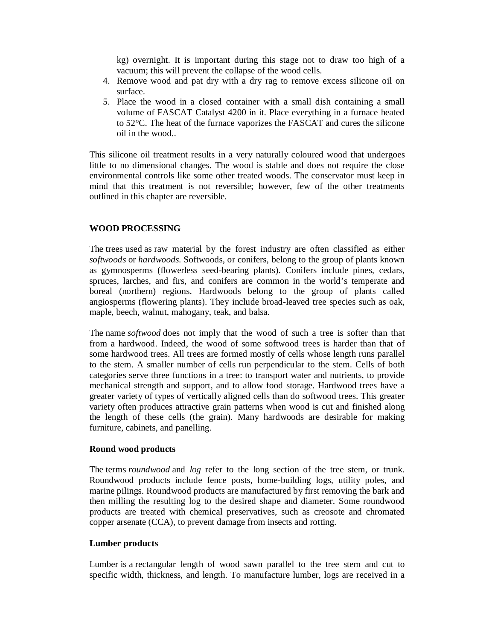kg) overnight. It is important during this stage not to draw too high of a vacuum; this will prevent the collapse of the wood cells.

- 4. Remove wood and pat dry with a dry rag to remove excess silicone oil on surface.
- 5. Place the wood in a closed container with a small dish containing a small volume of FASCAT Catalyst 4200 in it. Place everything in a furnace heated to 52°C. The heat of the furnace vaporizes the FASCAT and cures the silicone oil in the wood..

This silicone oil treatment results in a very naturally coloured wood that undergoes little to no dimensional changes. The wood is stable and does not require the close environmental controls like some other treated woods. The conservator must keep in mind that this treatment is not reversible; however, few of the other treatments outlined in this chapter are reversible.

#### **WOOD PROCESSING**

The trees used as raw material by the forest industry are often classified as either *softwoods* or *hardwoods*. Softwoods, or conifers, belong to the group of plants known as gymnosperms (flowerless seed-bearing plants). Conifers include pines, cedars, spruces, larches, and firs, and conifers are common in the world's temperate and boreal (northern) regions. Hardwoods belong to the group of plants called angiosperms (flowering plants). They include broad-leaved tree species such as oak, maple, beech, walnut, mahogany, teak, and balsa.

The name *softwood* does not imply that the wood of such a tree is softer than that from a hardwood. Indeed, the wood of some softwood trees is harder than that of some hardwood trees. All trees are formed mostly of cells whose length runs parallel to the stem. A smaller number of cells run perpendicular to the stem. Cells of both categories serve three functions in a tree: to transport water and nutrients, to provide mechanical strength and support, and to allow food storage. Hardwood trees have a greater variety of types of vertically aligned cells than do softwood trees. This greater variety often produces attractive grain patterns when wood is cut and finished along the length of these cells (the grain). Many hardwoods are desirable for making furniture, cabinets, and panelling.

#### **Round wood products**

The terms *roundwood* and *log* refer to the long section of the tree stem, or trunk. Roundwood products include fence posts, home-building logs, utility poles, and marine pilings. Roundwood products are manufactured by first removing the bark and then milling the resulting log to the desired shape and diameter. Some roundwood products are treated with chemical preservatives, such as creosote and chromated copper arsenate (CCA), to prevent damage from insects and rotting.

#### **Lumber products**

Lumber is a rectangular length of wood sawn parallel to the tree stem and cut to specific width, thickness, and length. To manufacture lumber, logs are received in a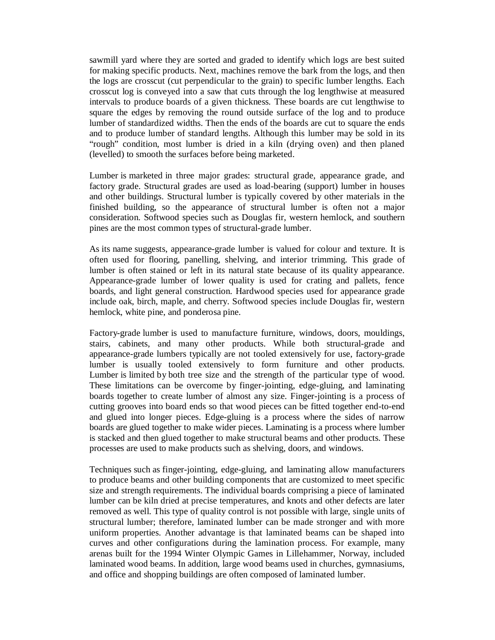sawmill yard where they are sorted and graded to identify which logs are best suited for making specific products. Next, machines remove the bark from the logs, and then the logs are crosscut (cut perpendicular to the grain) to specific lumber lengths. Each crosscut log is conveyed into a saw that cuts through the log lengthwise at measured intervals to produce boards of a given thickness. These boards are cut lengthwise to square the edges by removing the round outside surface of the log and to produce lumber of standardized widths. Then the ends of the boards are cut to square the ends and to produce lumber of standard lengths. Although this lumber may be sold in its "rough" condition, most lumber is dried in a kiln (drying oven) and then planed (levelled) to smooth the surfaces before being marketed.

Lumber is marketed in three major grades: structural grade, appearance grade, and factory grade. Structural grades are used as load-bearing (support) lumber in houses and other buildings. Structural lumber is typically covered by other materials in the finished building, so the appearance of structural lumber is often not a major consideration. Softwood species such as Douglas fir, western hemlock, and southern pines are the most common types of structural-grade lumber.

As its name suggests, appearance-grade lumber is valued for colour and texture. It is often used for flooring, panelling, shelving, and interior trimming. This grade of lumber is often stained or left in its natural state because of its quality appearance. Appearance-grade lumber of lower quality is used for crating and pallets, fence boards, and light general construction. Hardwood species used for appearance grade include oak, birch, maple, and cherry. Softwood species include Douglas fir, western hemlock, white pine, and ponderosa pine.

Factory-grade lumber is used to manufacture furniture, windows, doors, mouldings, stairs, cabinets, and many other products. While both structural-grade and appearance-grade lumbers typically are not tooled extensively for use, factory-grade lumber is usually tooled extensively to form furniture and other products. Lumber is limited by both tree size and the strength of the particular type of wood. These limitations can be overcome by finger-jointing, edge-gluing, and laminating boards together to create lumber of almost any size. Finger-jointing is a process of cutting grooves into board ends so that wood pieces can be fitted together end-to-end and glued into longer pieces. Edge-gluing is a process where the sides of narrow boards are glued together to make wider pieces. Laminating is a process where lumber is stacked and then glued together to make structural beams and other products. These processes are used to make products such as shelving, doors, and windows.

Techniques such as finger-jointing, edge-gluing, and laminating allow manufacturers to produce beams and other building components that are customized to meet specific size and strength requirements. The individual boards comprising a piece of laminated lumber can be kiln dried at precise temperatures, and knots and other defects are later removed as well. This type of quality control is not possible with large, single units of structural lumber; therefore, laminated lumber can be made stronger and with more uniform properties. Another advantage is that laminated beams can be shaped into curves and other configurations during the lamination process. For example, many arenas built for the 1994 Winter Olympic Games in Lillehammer, Norway, included laminated wood beams. In addition, large wood beams used in churches, gymnasiums, and office and shopping buildings are often composed of laminated lumber.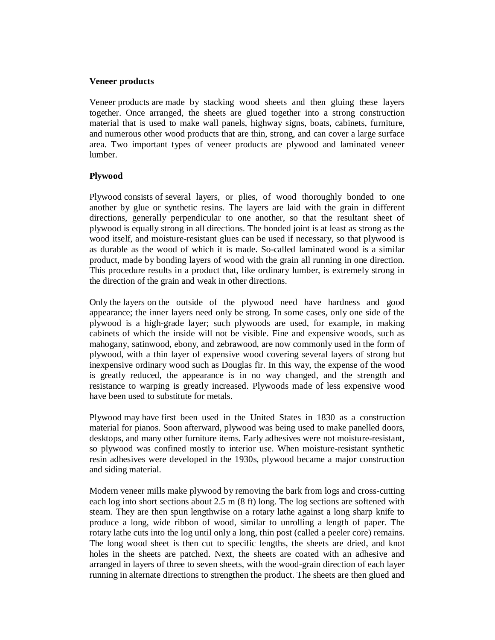#### **Veneer products**

Veneer products are made by stacking wood sheets and then gluing these layers together. Once arranged, the sheets are glued together into a strong construction material that is used to make wall panels, highway signs, boats, cabinets, furniture, and numerous other wood products that are thin, strong, and can cover a large surface area. Two important types of veneer products are plywood and laminated veneer lumber.

## **Plywood**

Plywood consists of several layers, or plies, of wood thoroughly bonded to one another by glue or synthetic resins. The layers are laid with the grain in different directions, generally perpendicular to one another, so that the resultant sheet of plywood is equally strong in all directions. The bonded joint is at least as strong as the wood itself, and moisture-resistant glues can be used if necessary, so that plywood is as durable as the wood of which it is made. So-called laminated wood is a similar product, made by bonding layers of wood with the grain all running in one direction. This procedure results in a product that, like ordinary lumber, is extremely strong in the direction of the grain and weak in other directions.

Only the layers on the outside of the plywood need have hardness and good appearance; the inner layers need only be strong. In some cases, only one side of the plywood is a high-grade layer; such plywoods are used, for example, in making cabinets of which the inside will not be visible. Fine and expensive woods, such as mahogany, satinwood, ebony, and zebrawood, are now commonly used in the form of plywood, with a thin layer of expensive wood covering several layers of strong but inexpensive ordinary wood such as Douglas fir. In this way, the expense of the wood is greatly reduced, the appearance is in no way changed, and the strength and resistance to warping is greatly increased. Plywoods made of less expensive wood have been used to substitute for metals.

Plywood may have first been used in the United States in 1830 as a construction material for pianos. Soon afterward, plywood was being used to make panelled doors, desktops, and many other furniture items. Early adhesives were not moisture-resistant, so plywood was confined mostly to interior use. When moisture-resistant synthetic resin adhesives were developed in the 1930s, plywood became a major construction and siding material.

Modern veneer mills make plywood by removing the bark from logs and cross-cutting each log into short sections about 2.5 m (8 ft) long. The log sections are softened with steam. They are then spun lengthwise on a rotary lathe against a long sharp knife to produce a long, wide ribbon of wood, similar to unrolling a length of paper. The rotary lathe cuts into the log until only a long, thin post (called a peeler core) remains. The long wood sheet is then cut to specific lengths, the sheets are dried, and knot holes in the sheets are patched. Next, the sheets are coated with an adhesive and arranged in layers of three to seven sheets, with the wood-grain direction of each layer running in alternate directions to strengthen the product. The sheets are then glued and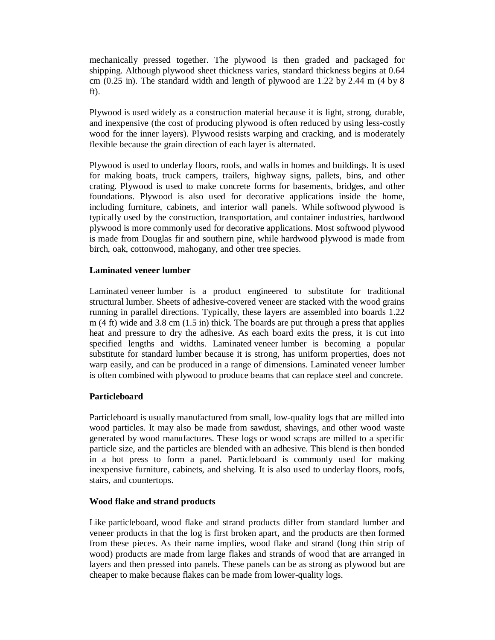mechanically pressed together. The plywood is then graded and packaged for shipping. Although plywood sheet thickness varies, standard thickness begins at 0.64 cm  $(0.25 \text{ in})$ . The standard width and length of plywood are 1.22 by 2.44 m  $(4 \text{ by } 8)$ ft).

Plywood is used widely as a construction material because it is light, strong, durable, and inexpensive (the cost of producing plywood is often reduced by using less-costly wood for the inner layers). Plywood resists warping and cracking, and is moderately flexible because the grain direction of each layer is alternated.

Plywood is used to underlay floors, roofs, and walls in homes and buildings. It is used for making boats, truck campers, trailers, highway signs, pallets, bins, and other crating. Plywood is used to make concrete forms for basements, bridges, and other foundations. Plywood is also used for decorative applications inside the home, including furniture, cabinets, and interior wall panels. While softwood plywood is typically used by the construction, transportation, and container industries, hardwood plywood is more commonly used for decorative applications. Most softwood plywood is made from Douglas fir and southern pine, while hardwood plywood is made from birch, oak, cottonwood, mahogany, and other tree species.

#### **Laminated veneer lumber**

Laminated veneer lumber is a product engineered to substitute for traditional structural lumber. Sheets of adhesive-covered veneer are stacked with the wood grains running in parallel directions. Typically, these layers are assembled into boards 1.22 m  $(4 \text{ ft})$  wide and 3.8 cm  $(1.5 \text{ in})$  thick. The boards are put through a press that applies heat and pressure to dry the adhesive. As each board exits the press, it is cut into specified lengths and widths. Laminated veneer lumber is becoming a popular substitute for standard lumber because it is strong, has uniform properties, does not warp easily, and can be produced in a range of dimensions. Laminated veneer lumber is often combined with plywood to produce beams that can replace steel and concrete.

## **Particleboard**

Particleboard is usually manufactured from small, low-quality logs that are milled into wood particles. It may also be made from sawdust, shavings, and other wood waste generated by wood manufactures. These logs or wood scraps are milled to a specific particle size, and the particles are blended with an adhesive. This blend is then bonded in a hot press to form a panel. Particleboard is commonly used for making inexpensive furniture, cabinets, and shelving. It is also used to underlay floors, roofs, stairs, and countertops.

## **Wood flake and strand products**

Like particleboard, wood flake and strand products differ from standard lumber and veneer products in that the log is first broken apart, and the products are then formed from these pieces. As their name implies, wood flake and strand (long thin strip of wood) products are made from large flakes and strands of wood that are arranged in layers and then pressed into panels. These panels can be as strong as plywood but are cheaper to make because flakes can be made from lower-quality logs.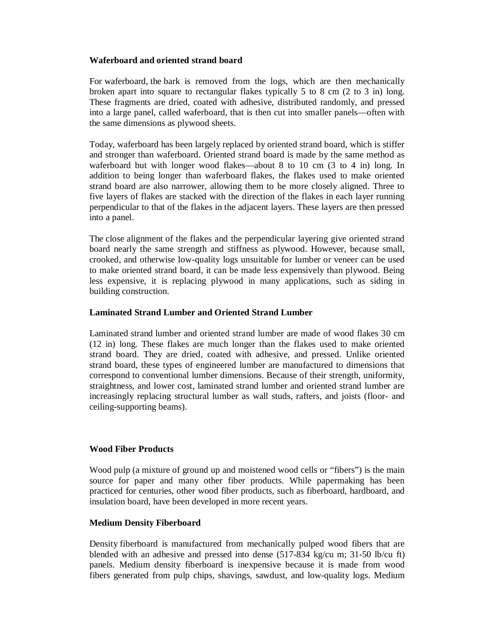## **Waferboard and oriented strand board**

For waferboard, the bark is removed from the logs, which are then mechanically broken apart into square to rectangular flakes typically 5 to 8 cm (2 to 3 in) long. These fragments are dried, coated with adhesive, distributed randomly, and pressed into a large panel, called waferboard, that is then cut into smaller panels—often with the same dimensions as plywood sheets.

Today, waferboard has been largely replaced by oriented strand board, which is stiffer and stronger than waferboard. Oriented strand board is made by the same method as waferboard but with longer wood flakes—about 8 to 10 cm (3 to 4 in) long. In addition to being longer than waferboard flakes, the flakes used to make oriented strand board are also narrower, allowing them to be more closely aligned. Three to five layers of flakes are stacked with the direction of the flakes in each layer running perpendicular to that of the flakes in the adjacent layers. These layers are then pressed into a panel.

The close alignment of the flakes and the perpendicular layering give oriented strand board nearly the same strength and stiffness as plywood. However, because small, crooked, and otherwise low-quality logs unsuitable for lumber or veneer can be used to make oriented strand board, it can be made less expensively than plywood. Being less expensive, it is replacing plywood in many applications, such as siding in building construction.

#### **Laminated Strand Lumber and Oriented Strand Lumber**

Laminated strand lumber and oriented strand lumber are made of wood flakes 30 cm (12 in) long. These flakes are much longer than the flakes used to make oriented strand board. They are dried, coated with adhesive, and pressed. Unlike oriented strand board, these types of engineered lumber are manufactured to dimensions that correspond to conventional lumber dimensions. Because of their strength, uniformity, straightness, and lower cost, laminated strand lumber and oriented strand lumber are increasingly replacing structural lumber as wall studs, rafters, and joists (floor- and ceiling-supporting beams).

## **Wood Fiber Products**

Wood pulp (a mixture of ground up and moistened wood cells or "fibers") is the main source for paper and many other fiber products. While papermaking has been practiced for centuries, other wood fiber products, such as fiberboard, hardboard, and insulation board, have been developed in more recent years.

## **Medium Density Fiberboard**

Density fiberboard is manufactured from mechanically pulped wood fibers that are blended with an adhesive and pressed into dense (517-834 kg/cu m; 31-50 lb/cu ft) panels. Medium density fiberboard is inexpensive because it is made from wood fibers generated from pulp chips, shavings, sawdust, and low-quality logs. Medium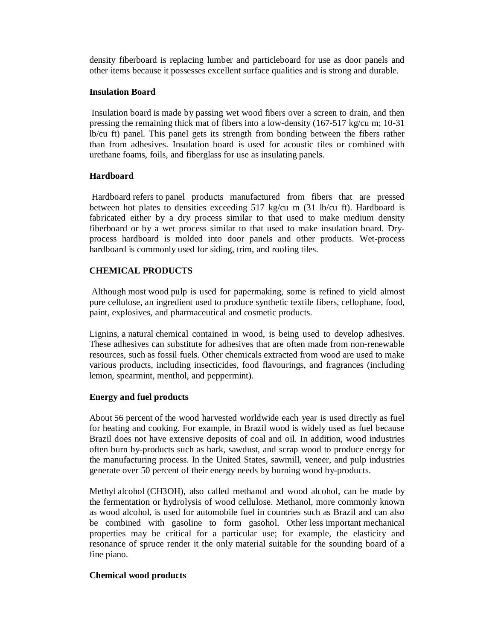density fiberboard is replacing lumber and particleboard for use as door panels and other items because it possesses excellent surface qualities and is strong and durable.

#### **Insulation Board**

Insulation board is made by passing wet wood fibers over a screen to drain, and then pressing the remaining thick mat of fibers into a low-density (167-517 kg/cu m; 10-31 lb/cu ft) panel. This panel gets its strength from bonding between the fibers rather than from adhesives. Insulation board is used for acoustic tiles or combined with urethane foams, foils, and fiberglass for use as insulating panels.

## **Hardboard**

Hardboard refers to panel products manufactured from fibers that are pressed between hot plates to densities exceeding 517 kg/cu m (31 lb/cu ft). Hardboard is fabricated either by a dry process similar to that used to make medium density fiberboard or by a wet process similar to that used to make insulation board. Dryprocess hardboard is molded into door panels and other products. Wet-process hardboard is commonly used for siding, trim, and roofing tiles.

# **CHEMICAL PRODUCTS**

Although most wood pulp is used for papermaking, some is refined to yield almost pure cellulose, an ingredient used to produce synthetic textile fibers, cellophane, food, paint, explosives, and pharmaceutical and cosmetic products.

Lignins, a natural chemical contained in wood, is being used to develop adhesives. These adhesives can substitute for adhesives that are often made from non-renewable resources, such as fossil fuels. Other chemicals extracted from wood are used to make various products, including insecticides, food flavourings, and fragrances (including lemon, spearmint, menthol, and peppermint).

## **Energy and fuel products**

About 56 percent of the wood harvested worldwide each year is used directly as fuel for heating and cooking. For example, in Brazil wood is widely used as fuel because Brazil does not have extensive deposits of coal and oil. In addition, wood industries often burn by-products such as bark, sawdust, and scrap wood to produce energy for the manufacturing process. In the United States, sawmill, veneer, and pulp industries generate over 50 percent of their energy needs by burning wood by-products.

Methyl alcohol (CH3OH), also called methanol and wood alcohol, can be made by the fermentation or hydrolysis of wood cellulose. Methanol, more commonly known as wood alcohol, is used for automobile fuel in countries such as Brazil and can also be combined with gasoline to form gasohol. Other less important mechanical properties may be critical for a particular use; for example, the elasticity and resonance of spruce render it the only material suitable for the sounding board of a fine piano.

# **Chemical wood products**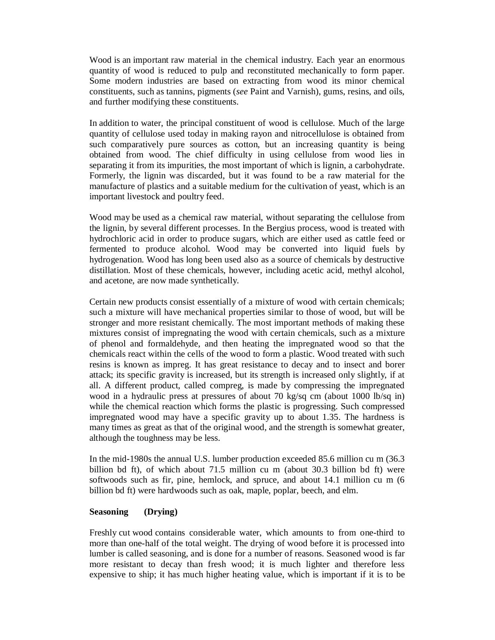Wood is an important raw material in the chemical industry. Each year an enormous quantity of wood is reduced to pulp and reconstituted mechanically to form paper. Some modern industries are based on extracting from wood its minor chemical constituents, such as tannins, pigments (*see* Paint and Varnish), gums, resins, and oils, and further modifying these constituents.

In addition to water, the principal constituent of wood is cellulose. Much of the large quantity of cellulose used today in making rayon and nitrocellulose is obtained from such comparatively pure sources as cotton, but an increasing quantity is being obtained from wood. The chief difficulty in using cellulose from wood lies in separating it from its impurities, the most important of which is lignin, a carbohydrate. Formerly, the lignin was discarded, but it was found to be a raw material for the manufacture of plastics and a suitable medium for the cultivation of yeast, which is an important livestock and poultry feed.

Wood may be used as a chemical raw material, without separating the cellulose from the lignin, by several different processes. In the Bergius process, wood is treated with hydrochloric acid in order to produce sugars, which are either used as cattle feed or fermented to produce alcohol. Wood may be converted into liquid fuels by hydrogenation. Wood has long been used also as a source of chemicals by destructive distillation. Most of these chemicals, however, including acetic acid, methyl alcohol, and acetone, are now made synthetically.

Certain new products consist essentially of a mixture of wood with certain chemicals; such a mixture will have mechanical properties similar to those of wood, but will be stronger and more resistant chemically. The most important methods of making these mixtures consist of impregnating the wood with certain chemicals, such as a mixture of phenol and formaldehyde, and then heating the impregnated wood so that the chemicals react within the cells of the wood to form a plastic. Wood treated with such resins is known as impreg. It has great resistance to decay and to insect and borer attack; its specific gravity is increased, but its strength is increased only slightly, if at all. A different product, called compreg, is made by compressing the impregnated wood in a hydraulic press at pressures of about 70 kg/sq cm (about 1000 lb/sq in) while the chemical reaction which forms the plastic is progressing. Such compressed impregnated wood may have a specific gravity up to about 1.35. The hardness is many times as great as that of the original wood, and the strength is somewhat greater, although the toughness may be less.

In the mid-1980s the annual U.S. lumber production exceeded 85.6 million cu m (36.3 billion bd ft), of which about 71.5 million cu m (about 30.3 billion bd ft) were softwoods such as fir, pine, hemlock, and spruce, and about 14.1 million cu m (6 billion bd ft) were hardwoods such as oak, maple, poplar, beech, and elm.

#### **Seasoning (Drying)**

Freshly cut wood contains considerable water, which amounts to from one-third to more than one-half of the total weight. The drying of wood before it is processed into lumber is called seasoning, and is done for a number of reasons. Seasoned wood is far more resistant to decay than fresh wood; it is much lighter and therefore less expensive to ship; it has much higher heating value, which is important if it is to be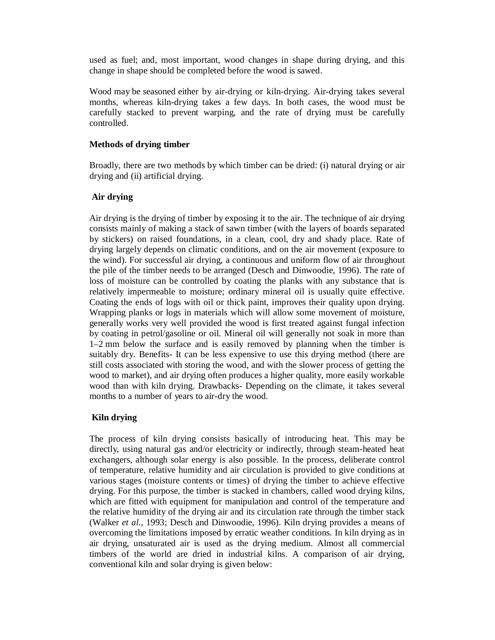used as fuel; and, most important, wood changes in shape during drying, and this change in shape should be completed before the wood is sawed.

Wood may be seasoned either by air-drying or kiln-drying. Air-drying takes several months, whereas kiln-drying takes a few days. In both cases, the wood must be carefully stacked to prevent warping, and the rate of drying must be carefully controlled.

## **Methods of drying timber**

Broadly, there are two methods by which timber can be dried: (i) natural drying or air drying and (ii) artificial drying.

## **Air drying**

Air drying is the drying of timber by exposing it to the air. The technique of air drying consists mainly of making a stack of sawn timber (with the layers of boards separated by stickers) on raised foundations, in a clean, cool, dry and shady place. Rate of drying largely depends on climatic conditions, and on the air movement (exposure to the wind). For successful air drying, a continuous and uniform flow of air throughout the pile of the timber needs to be arranged (Desch and Dinwoodie, 1996). The rate of loss of moisture can be controlled by coating the planks with any substance that is relatively impermeable to moisture; ordinary mineral oil is usually quite effective. Coating the ends of logs with oil or thick paint, improves their quality upon drying. Wrapping planks or logs in materials which will allow some movement of moisture, generally works very well provided the wood is first treated against fungal infection by coating in petrol/gasoline or oil. Mineral oil will generally not soak in more than 1–2 mm below the surface and is easily removed by planning when the timber is suitably dry. Benefits- It can be less expensive to use this drying method (there are still costs associated with storing the wood, and with the slower process of getting the wood to market), and air drying often produces a higher quality, more easily workable wood than with kiln drying. Drawbacks- Depending on the climate, it takes several months to a number of years to air-dry the wood.

## **Kiln drying**

The process of kiln drying consists basically of introducing heat. This may be directly, using natural gas and/or electricity or indirectly, through steam-heated heat exchangers, although solar energy is also possible. In the process, deliberate control of temperature, relative humidity and air circulation is provided to give conditions at various stages (moisture contents or times) of drying the timber to achieve effective drying. For this purpose, the timber is stacked in chambers, called wood drying kilns, which are fitted with equipment for manipulation and control of the temperature and the relative humidity of the drying air and its circulation rate through the timber stack (Walker *et al.*, 1993; Desch and Dinwoodie, 1996). Kiln drying provides a means of overcoming the limitations imposed by erratic weather conditions. In kiln drying as in air drying, unsaturated air is used as the drying medium. Almost all commercial timbers of the world are dried in industrial kilns. A comparison of air drying, conventional kiln and solar drying is given below: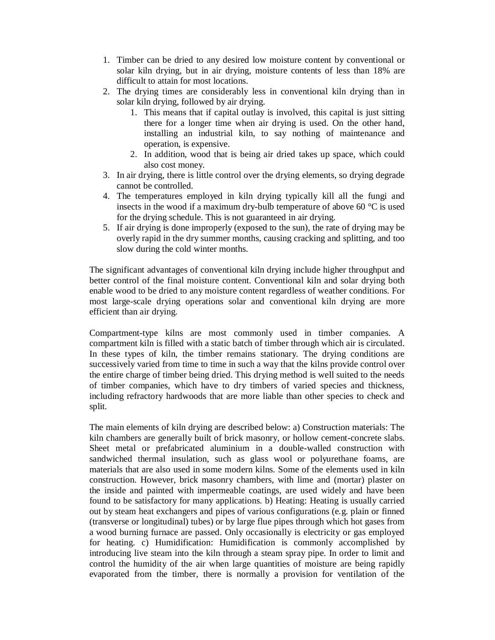- 1. Timber can be dried to any desired low moisture content by conventional or solar kiln drying, but in air drying, moisture contents of less than 18% are difficult to attain for most locations.
- 2. The drying times are considerably less in conventional kiln drying than in solar kiln drying, followed by air drying.
	- 1. This means that if capital outlay is involved, this capital is just sitting there for a longer time when air drying is used. On the other hand, installing an industrial kiln, to say nothing of maintenance and operation, is expensive.
	- 2. In addition, wood that is being air dried takes up space, which could also cost money.
- 3. In air drying, there is little control over the drying elements, so drying degrade cannot be controlled.
- 4. The temperatures employed in kiln drying typically kill all the fungi and insects in the wood if a maximum dry-bulb temperature of above 60 °C is used for the drying schedule. This is not guaranteed in air drying.
- 5. If air drying is done improperly (exposed to the sun), the rate of drying may be overly rapid in the dry summer months, causing cracking and splitting, and too slow during the cold winter months.

The significant advantages of conventional kiln drying include higher throughput and better control of the final moisture content. Conventional kiln and solar drying both enable wood to be dried to any moisture content regardless of weather conditions. For most large-scale drying operations solar and conventional kiln drying are more efficient than air drying.

Compartment-type kilns are most commonly used in timber companies. A compartment kiln is filled with a static batch of timber through which air is circulated. In these types of kiln, the timber remains stationary. The drying conditions are successively varied from time to time in such a way that the kilns provide control over the entire charge of timber being dried. This drying method is well suited to the needs of timber companies, which have to dry timbers of varied species and thickness, including refractory hardwoods that are more liable than other species to check and split.

The main elements of kiln drying are described below: a) Construction materials: The kiln chambers are generally built of brick masonry, or hollow cement-concrete slabs. Sheet metal or prefabricated aluminium in a double-walled construction with sandwiched thermal insulation, such as glass wool or polyurethane foams, are materials that are also used in some modern kilns. Some of the elements used in kiln construction. However, brick masonry chambers, with lime and (mortar) plaster on the inside and painted with impermeable coatings, are used widely and have been found to be satisfactory for many applications. b) Heating: Heating is usually carried out by steam heat exchangers and pipes of various configurations (e.g. plain or finned (transverse or longitudinal) tubes) or by large flue pipes through which hot gases from a wood burning furnace are passed. Only occasionally is electricity or gas employed for heating. c) Humidification: Humidification is commonly accomplished by introducing live steam into the kiln through a steam spray pipe. In order to limit and control the humidity of the air when large quantities of moisture are being rapidly evaporated from the timber, there is normally a provision for ventilation of the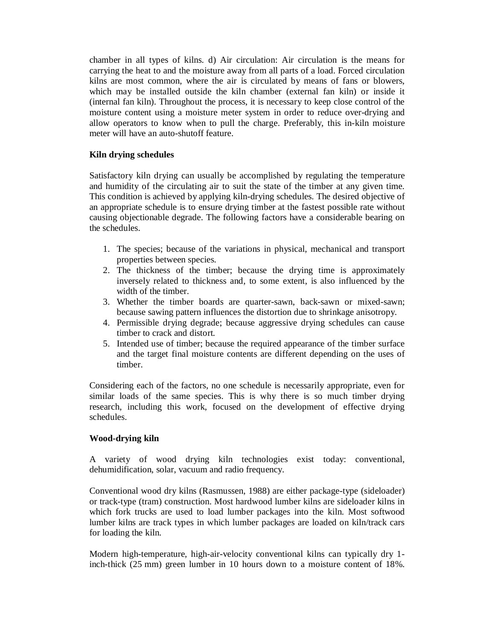chamber in all types of kilns. d) Air circulation: Air circulation is the means for carrying the heat to and the moisture away from all parts of a load. Forced circulation kilns are most common, where the air is circulated by means of fans or blowers, which may be installed outside the kiln chamber (external fan kiln) or inside it (internal fan kiln). Throughout the process, it is necessary to keep close control of the moisture content using a moisture meter system in order to reduce over-drying and allow operators to know when to pull the charge. Preferably, this in-kiln moisture meter will have an auto-shutoff feature.

## **Kiln drying schedules**

Satisfactory kiln drying can usually be accomplished by regulating the temperature and humidity of the circulating air to suit the state of the timber at any given time. This condition is achieved by applying kiln-drying schedules. The desired objective of an appropriate schedule is to ensure drying timber at the fastest possible rate without causing objectionable degrade. The following factors have a considerable bearing on the schedules.

- 1. The species; because of the variations in physical, mechanical and transport properties between species.
- 2. The thickness of the timber; because the drying time is approximately inversely related to thickness and, to some extent, is also influenced by the width of the timber.
- 3. Whether the timber boards are quarter-sawn, back-sawn or mixed-sawn; because sawing pattern influences the distortion due to shrinkage anisotropy.
- 4. Permissible drying degrade; because aggressive drying schedules can cause timber to crack and distort.
- 5. Intended use of timber; because the required appearance of the timber surface and the target final moisture contents are different depending on the uses of timber.

Considering each of the factors, no one schedule is necessarily appropriate, even for similar loads of the same species. This is why there is so much timber drying research, including this work, focused on the development of effective drying schedules.

## **Wood-drying kiln**

A variety of wood drying kiln technologies exist today: conventional, dehumidification, solar, vacuum and radio frequency.

Conventional wood dry kilns (Rasmussen, 1988) are either package-type (sideloader) or track-type (tram) construction. Most hardwood lumber kilns are sideloader kilns in which fork trucks are used to load lumber packages into the kiln. Most softwood lumber kilns are track types in which lumber packages are loaded on kiln/track cars for loading the kiln.

Modern high-temperature, high-air-velocity conventional kilns can typically dry 1 inch-thick (25 mm) green lumber in 10 hours down to a moisture content of 18%.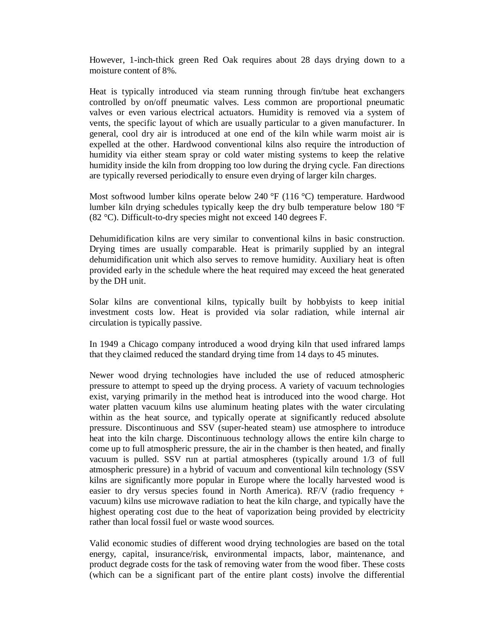However, 1-inch-thick green Red Oak requires about 28 days drying down to a moisture content of 8%.

Heat is typically introduced via steam running through fin/tube heat exchangers controlled by on/off pneumatic valves. Less common are proportional pneumatic valves or even various electrical actuators. Humidity is removed via a system of vents, the specific layout of which are usually particular to a given manufacturer. In general, cool dry air is introduced at one end of the kiln while warm moist air is expelled at the other. Hardwood conventional kilns also require the introduction of humidity via either steam spray or cold water misting systems to keep the relative humidity inside the kiln from dropping too low during the drying cycle. Fan directions are typically reversed periodically to ensure even drying of larger kiln charges.

Most softwood lumber kilns operate below 240 °F (116 °C) temperature. Hardwood lumber kiln drying schedules typically keep the dry bulb temperature below 180 °F (82 °C). Difficult-to-dry species might not exceed 140 degrees F.

Dehumidification kilns are very similar to conventional kilns in basic construction. Drying times are usually comparable. Heat is primarily supplied by an integral dehumidification unit which also serves to remove humidity. Auxiliary heat is often provided early in the schedule where the heat required may exceed the heat generated by the DH unit.

Solar kilns are conventional kilns, typically built by hobbyists to keep initial investment costs low. Heat is provided via solar radiation, while internal air circulation is typically passive.

In 1949 a Chicago company introduced a wood drying kiln that used infrared lamps that they claimed reduced the standard drying time from 14 days to 45 minutes.

Newer wood drying technologies have included the use of reduced atmospheric pressure to attempt to speed up the drying process. A variety of vacuum technologies exist, varying primarily in the method heat is introduced into the wood charge. Hot water platten vacuum kilns use aluminum heating plates with the water circulating within as the heat source, and typically operate at significantly reduced absolute pressure. Discontinuous and SSV (super-heated steam) use atmosphere to introduce heat into the kiln charge. Discontinuous technology allows the entire kiln charge to come up to full atmospheric pressure, the air in the chamber is then heated, and finally vacuum is pulled. SSV run at partial atmospheres (typically around 1/3 of full atmospheric pressure) in a hybrid of vacuum and conventional kiln technology (SSV kilns are significantly more popular in Europe where the locally harvested wood is easier to dry versus species found in North America). RF/V (radio frequency + vacuum) kilns use microwave radiation to heat the kiln charge, and typically have the highest operating cost due to the heat of vaporization being provided by electricity rather than local fossil fuel or waste wood sources.

Valid economic studies of different wood drying technologies are based on the total energy, capital, insurance/risk, environmental impacts, labor, maintenance, and product degrade costs for the task of removing water from the wood fiber. These costs (which can be a significant part of the entire plant costs) involve the differential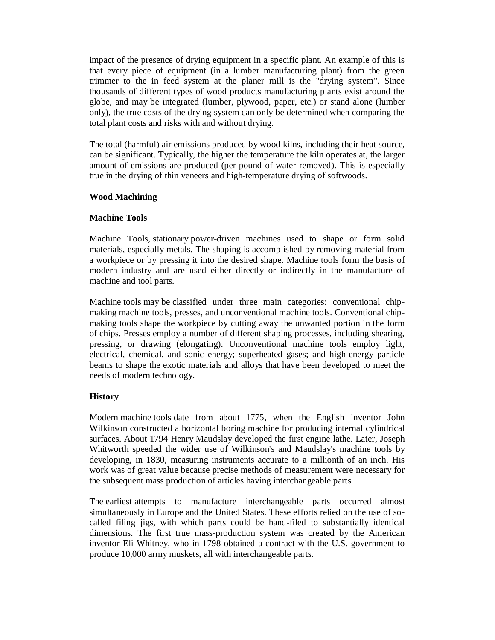impact of the presence of drying equipment in a specific plant. An example of this is that every piece of equipment (in a lumber manufacturing plant) from the green trimmer to the in feed system at the planer mill is the "drying system". Since thousands of different types of wood products manufacturing plants exist around the globe, and may be integrated (lumber, plywood, paper, etc.) or stand alone (lumber only), the true costs of the drying system can only be determined when comparing the total plant costs and risks with and without drying.

The total (harmful) air emissions produced by wood kilns, including their heat source, can be significant. Typically, the higher the temperature the kiln operates at, the larger amount of emissions are produced (per pound of water removed). This is especially true in the drying of thin veneers and high-temperature drying of softwoods.

#### **Wood Machining**

## **Machine Tools**

Machine Tools, stationary power-driven machines used to shape or form solid materials, especially metals. The shaping is accomplished by removing material from a workpiece or by pressing it into the desired shape. Machine tools form the basis of modern industry and are used either directly or indirectly in the manufacture of machine and tool parts.

Machine tools may be classified under three main categories: conventional chipmaking machine tools, presses, and unconventional machine tools. Conventional chipmaking tools shape the workpiece by cutting away the unwanted portion in the form of chips. Presses employ a number of different shaping processes, including shearing, pressing, or drawing (elongating). Unconventional machine tools employ light, electrical, chemical, and sonic energy; superheated gases; and high-energy particle beams to shape the exotic materials and alloys that have been developed to meet the needs of modern technology.

## **History**

Modern machine tools date from about 1775, when the English inventor John Wilkinson constructed a horizontal boring machine for producing internal cylindrical surfaces. About 1794 Henry Maudslay developed the first engine lathe. Later, Joseph Whitworth speeded the wider use of Wilkinson's and Maudslay's machine tools by developing, in 1830, measuring instruments accurate to a millionth of an inch. His work was of great value because precise methods of measurement were necessary for the subsequent mass production of articles having interchangeable parts.

The earliest attempts to manufacture interchangeable parts occurred almost simultaneously in Europe and the United States. These efforts relied on the use of socalled filing jigs, with which parts could be hand-filed to substantially identical dimensions. The first true mass-production system was created by the American inventor Eli Whitney, who in 1798 obtained a contract with the U.S. government to produce 10,000 army muskets, all with interchangeable parts.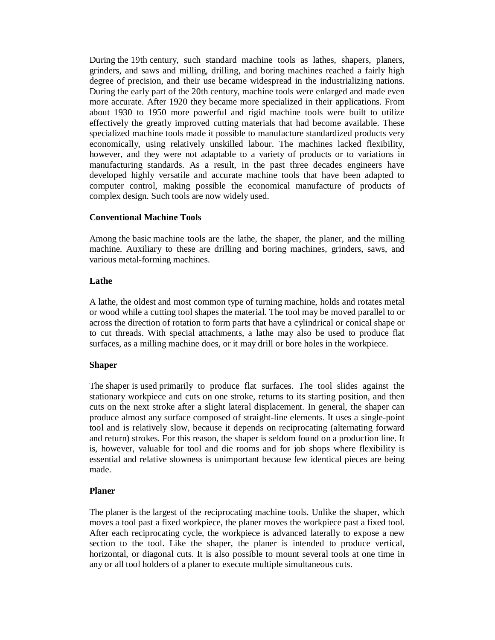During the 19th century, such standard machine tools as lathes, shapers, planers, grinders, and saws and milling, drilling, and boring machines reached a fairly high degree of precision, and their use became widespread in the industrializing nations. During the early part of the 20th century, machine tools were enlarged and made even more accurate. After 1920 they became more specialized in their applications. From about 1930 to 1950 more powerful and rigid machine tools were built to utilize effectively the greatly improved cutting materials that had become available. These specialized machine tools made it possible to manufacture standardized products very economically, using relatively unskilled labour. The machines lacked flexibility, however, and they were not adaptable to a variety of products or to variations in manufacturing standards. As a result, in the past three decades engineers have developed highly versatile and accurate machine tools that have been adapted to computer control, making possible the economical manufacture of products of complex design. Such tools are now widely used.

#### **Conventional Machine Tools**

Among the basic machine tools are the lathe, the shaper, the planer, and the milling machine. Auxiliary to these are drilling and boring machines, grinders, saws, and various metal-forming machines.

#### **Lathe**

A lathe, the oldest and most common type of turning machine, holds and rotates metal or wood while a cutting tool shapes the material. The tool may be moved parallel to or across the direction of rotation to form parts that have a cylindrical or conical shape or to cut threads. With special attachments, a lathe may also be used to produce flat surfaces, as a milling machine does, or it may drill or bore holes in the workpiece.

## **Shaper**

The shaper is used primarily to produce flat surfaces. The tool slides against the stationary workpiece and cuts on one stroke, returns to its starting position, and then cuts on the next stroke after a slight lateral displacement. In general, the shaper can produce almost any surface composed of straight-line elements. It uses a single-point tool and is relatively slow, because it depends on reciprocating (alternating forward and return) strokes. For this reason, the shaper is seldom found on a production line. It is, however, valuable for tool and die rooms and for job shops where flexibility is essential and relative slowness is unimportant because few identical pieces are being made.

## **Planer**

The planer is the largest of the reciprocating machine tools. Unlike the shaper, which moves a tool past a fixed workpiece, the planer moves the workpiece past a fixed tool. After each reciprocating cycle, the workpiece is advanced laterally to expose a new section to the tool. Like the shaper, the planer is intended to produce vertical, horizontal, or diagonal cuts. It is also possible to mount several tools at one time in any or all tool holders of a planer to execute multiple simultaneous cuts.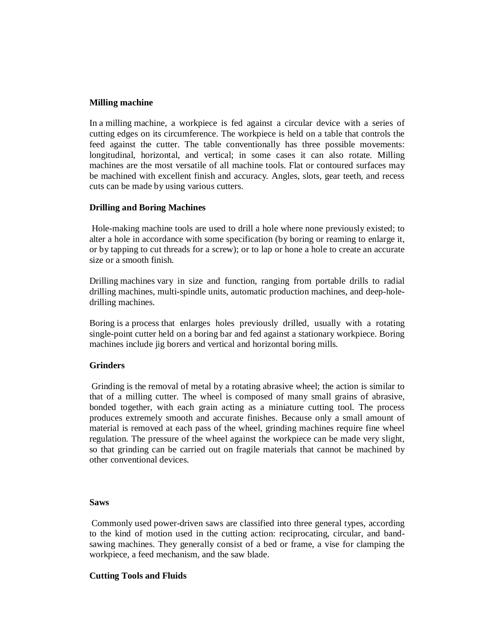#### **Milling machine**

In a milling machine, a workpiece is fed against a circular device with a series of cutting edges on its circumference. The workpiece is held on a table that controls the feed against the cutter. The table conventionally has three possible movements: longitudinal, horizontal, and vertical; in some cases it can also rotate. Milling machines are the most versatile of all machine tools. Flat or contoured surfaces may be machined with excellent finish and accuracy. Angles, slots, gear teeth, and recess cuts can be made by using various cutters.

#### **Drilling and Boring Machines**

Hole-making machine tools are used to drill a hole where none previously existed; to alter a hole in accordance with some specification (by boring or reaming to enlarge it, or by tapping to cut threads for a screw); or to lap or hone a hole to create an accurate size or a smooth finish.

Drilling machines vary in size and function, ranging from portable drills to radial drilling machines, multi-spindle units, automatic production machines, and deep-holedrilling machines.

Boring is a process that enlarges holes previously drilled, usually with a rotating single-point cutter held on a boring bar and fed against a stationary workpiece. Boring machines include jig borers and vertical and horizontal boring mills.

## **Grinders**

Grinding is the removal of metal by a rotating abrasive wheel; the action is similar to that of a milling cutter. The wheel is composed of many small grains of abrasive, bonded together, with each grain acting as a miniature cutting tool. The process produces extremely smooth and accurate finishes. Because only a small amount of material is removed at each pass of the wheel, grinding machines require fine wheel regulation. The pressure of the wheel against the workpiece can be made very slight, so that grinding can be carried out on fragile materials that cannot be machined by other conventional devices.

#### **Saws**

Commonly used power-driven saws are classified into three general types, according to the kind of motion used in the cutting action: reciprocating, circular, and bandsawing machines. They generally consist of a bed or frame, a vise for clamping the workpiece, a feed mechanism, and the saw blade.

## **Cutting Tools and Fluids**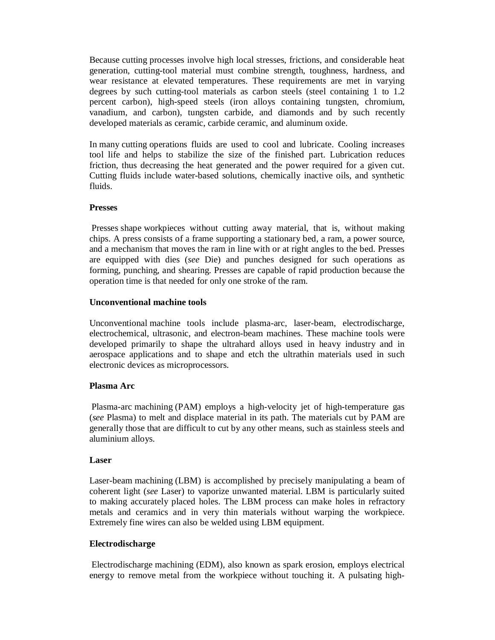Because cutting processes involve high local stresses, frictions, and considerable heat generation, cutting-tool material must combine strength, toughness, hardness, and wear resistance at elevated temperatures. These requirements are met in varying degrees by such cutting-tool materials as carbon steels (steel containing 1 to 1.2 percent carbon), high-speed steels (iron alloys containing tungsten, chromium, vanadium, and carbon), tungsten carbide, and diamonds and by such recently developed materials as ceramic, carbide ceramic, and aluminum oxide.

In many cutting operations fluids are used to cool and lubricate. Cooling increases tool life and helps to stabilize the size of the finished part. Lubrication reduces friction, thus decreasing the heat generated and the power required for a given cut. Cutting fluids include water-based solutions, chemically inactive oils, and synthetic fluids.

## **Presses**

Presses shape workpieces without cutting away material, that is, without making chips. A press consists of a frame supporting a stationary bed, a ram, a power source, and a mechanism that moves the ram in line with or at right angles to the bed. Presses are equipped with dies (*see* Die) and punches designed for such operations as forming, punching, and shearing. Presses are capable of rapid production because the operation time is that needed for only one stroke of the ram.

## **Unconventional machine tools**

Unconventional machine tools include plasma-arc, laser-beam, electrodischarge, electrochemical, ultrasonic, and electron-beam machines. These machine tools were developed primarily to shape the ultrahard alloys used in heavy industry and in aerospace applications and to shape and etch the ultrathin materials used in such electronic devices as microprocessors.

# **Plasma Arc**

Plasma-arc machining (PAM) employs a high-velocity jet of high-temperature gas (*see* Plasma) to melt and displace material in its path. The materials cut by PAM are generally those that are difficult to cut by any other means, such as stainless steels and aluminium alloys.

## **Laser**

Laser-beam machining (LBM) is accomplished by precisely manipulating a beam of coherent light (*see* Laser) to vaporize unwanted material. LBM is particularly suited to making accurately placed holes. The LBM process can make holes in refractory metals and ceramics and in very thin materials without warping the workpiece. Extremely fine wires can also be welded using LBM equipment.

## **Electrodischarge**

Electrodischarge machining (EDM), also known as spark erosion, employs electrical energy to remove metal from the workpiece without touching it. A pulsating high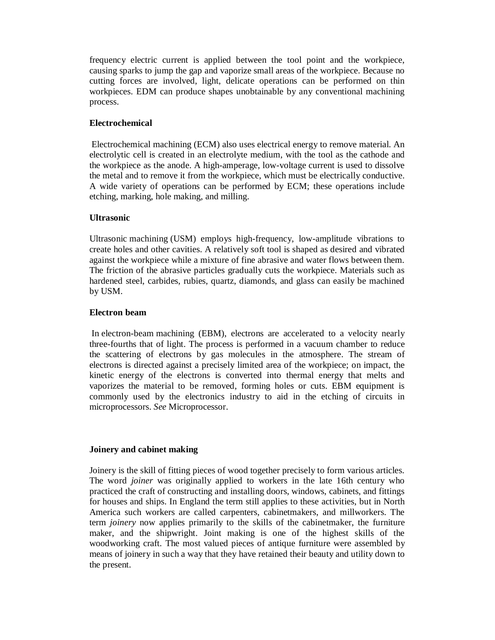frequency electric current is applied between the tool point and the workpiece, causing sparks to jump the gap and vaporize small areas of the workpiece. Because no cutting forces are involved, light, delicate operations can be performed on thin workpieces. EDM can produce shapes unobtainable by any conventional machining process.

## **Electrochemical**

Electrochemical machining (ECM) also uses electrical energy to remove material. An electrolytic cell is created in an electrolyte medium, with the tool as the cathode and the workpiece as the anode. A high-amperage, low-voltage current is used to dissolve the metal and to remove it from the workpiece, which must be electrically conductive. A wide variety of operations can be performed by ECM; these operations include etching, marking, hole making, and milling.

## **Ultrasonic**

Ultrasonic machining (USM) employs high-frequency, low-amplitude vibrations to create holes and other cavities. A relatively soft tool is shaped as desired and vibrated against the workpiece while a mixture of fine abrasive and water flows between them. The friction of the abrasive particles gradually cuts the workpiece. Materials such as hardened steel, carbides, rubies, quartz, diamonds, and glass can easily be machined by USM.

## **Electron beam**

In electron-beam machining (EBM), electrons are accelerated to a velocity nearly three-fourths that of light. The process is performed in a vacuum chamber to reduce the scattering of electrons by gas molecules in the atmosphere. The stream of electrons is directed against a precisely limited area of the workpiece; on impact, the kinetic energy of the electrons is converted into thermal energy that melts and vaporizes the material to be removed, forming holes or cuts. EBM equipment is commonly used by the electronics industry to aid in the etching of circuits in microprocessors. *See* Microprocessor.

## **Joinery and cabinet making**

Joinery is the skill of fitting pieces of wood together precisely to form various articles. The word *joiner* was originally applied to workers in the late 16th century who practiced the craft of constructing and installing doors, windows, cabinets, and fittings for houses and ships. In England the term still applies to these activities, but in North America such workers are called carpenters, cabinetmakers, and millworkers. The term *joinery* now applies primarily to the skills of the cabinetmaker, the furniture maker, and the shipwright. Joint making is one of the highest skills of the woodworking craft. The most valued pieces of antique furniture were assembled by means of joinery in such a way that they have retained their beauty and utility down to the present.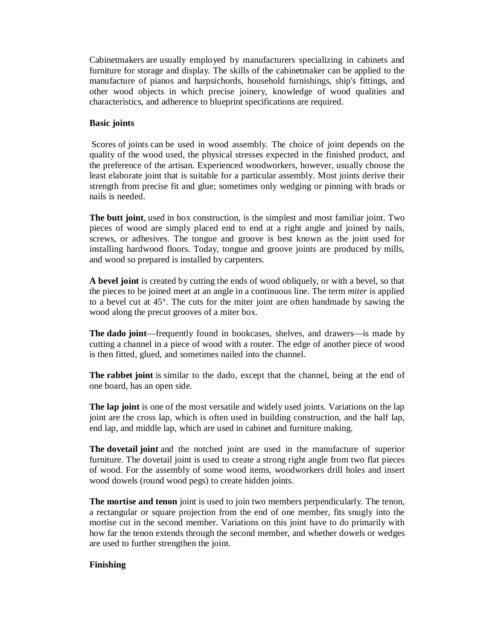Cabinetmakers are usually employed by manufacturers specializing in cabinets and furniture for storage and display. The skills of the cabinetmaker can be applied to the manufacture of pianos and harpsichords, household furnishings, ship's fittings, and other wood objects in which precise joinery, knowledge of wood qualities and characteristics, and adherence to blueprint specifications are required.

## **Basic joints**

Scores of joints can be used in wood assembly. The choice of joint depends on the quality of the wood used, the physical stresses expected in the finished product, and the preference of the artisan. Experienced woodworkers, however, usually choose the least elaborate joint that is suitable for a particular assembly. Most joints derive their strength from precise fit and glue; sometimes only wedging or pinning with brads or nails is needed.

**The butt joint**, used in box construction, is the simplest and most familiar joint. Two pieces of wood are simply placed end to end at a right angle and joined by nails, screws, or adhesives. The tongue and groove is best known as the joint used for installing hardwood floors. Today, tongue and groove joints are produced by mills, and wood so prepared is installed by carpenters.

**A bevel joint** is created by cutting the ends of wood obliquely, or with a bevel, so that the pieces to be joined meet at an angle in a continuous line. The term *miter* is applied to a bevel cut at 45°. The cuts for the miter joint are often handmade by sawing the wood along the precut grooves of a miter box.

**The dado joint**—frequently found in bookcases, shelves, and drawers—is made by cutting a channel in a piece of wood with a router. The edge of another piece of wood is then fitted, glued, and sometimes nailed into the channel.

**The rabbet joint** is similar to the dado, except that the channel, being at the end of one board, has an open side.

**The lap joint** is one of the most versatile and widely used joints. Variations on the lap joint are the cross lap, which is often used in building construction, and the half lap, end lap, and middle lap, which are used in cabinet and furniture making.

**The dovetail joint** and the notched joint are used in the manufacture of superior furniture. The dovetail joint is used to create a strong right angle from two flat pieces of wood. For the assembly of some wood items, woodworkers drill holes and insert wood dowels (round wood pegs) to create hidden joints.

**The mortise and tenon** joint is used to join two members perpendicularly. The tenon, a rectangular or square projection from the end of one member, fits snugly into the mortise cut in the second member. Variations on this joint have to do primarily with how far the tenon extends through the second member, and whether dowels or wedges are used to further strengthen the joint.

#### **Finishing**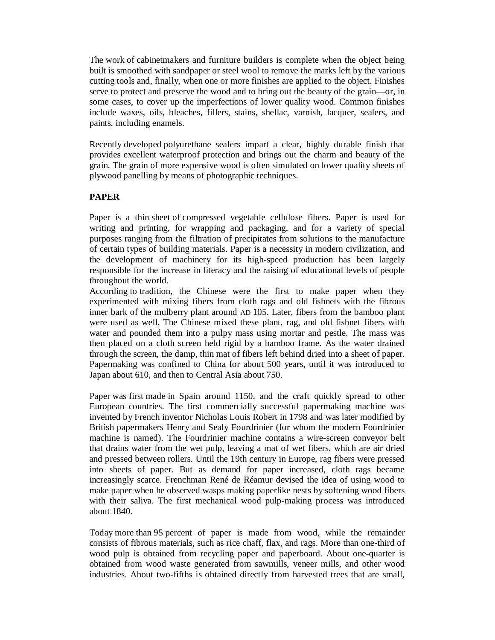The work of cabinetmakers and furniture builders is complete when the object being built is smoothed with sandpaper or steel wool to remove the marks left by the various cutting tools and, finally, when one or more finishes are applied to the object. Finishes serve to protect and preserve the wood and to bring out the beauty of the grain—or, in some cases, to cover up the imperfections of lower quality wood. Common finishes include waxes, oils, bleaches, fillers, stains, shellac, varnish, lacquer, sealers, and paints, including enamels.

Recently developed polyurethane sealers impart a clear, highly durable finish that provides excellent waterproof protection and brings out the charm and beauty of the grain. The grain of more expensive wood is often simulated on lower quality sheets of plywood panelling by means of photographic techniques.

## **PAPER**

Paper is a thin sheet of compressed vegetable cellulose fibers. Paper is used for writing and printing, for wrapping and packaging, and for a variety of special purposes ranging from the filtration of precipitates from solutions to the manufacture of certain types of building materials. Paper is a necessity in modern civilization, and the development of machinery for its high-speed production has been largely responsible for the increase in literacy and the raising of educational levels of people throughout the world.

According to tradition, the Chinese were the first to make paper when they experimented with mixing fibers from cloth rags and old fishnets with the fibrous inner bark of the mulberry plant around AD 105. Later, fibers from the bamboo plant were used as well. The Chinese mixed these plant, rag, and old fishnet fibers with water and pounded them into a pulpy mass using mortar and pestle. The mass was then placed on a cloth screen held rigid by a bamboo frame. As the water drained through the screen, the damp, thin mat of fibers left behind dried into a sheet of paper. Papermaking was confined to China for about 500 years, until it was introduced to Japan about 610, and then to Central Asia about 750.

Paper was first made in Spain around 1150, and the craft quickly spread to other European countries. The first commercially successful papermaking machine was invented by French inventor Nicholas Louis Robert in 1798 and was later modified by British papermakers Henry and Sealy Fourdrinier (for whom the modern Fourdrinier machine is named). The Fourdrinier machine contains a wire-screen conveyor belt that drains water from the wet pulp, leaving a mat of wet fibers, which are air dried and pressed between rollers. Until the 19th century in Europe, rag fibers were pressed into sheets of paper. But as demand for paper increased, cloth rags became increasingly scarce. Frenchman René de Réamur devised the idea of using wood to make paper when he observed wasps making paperlike nests by softening wood fibers with their saliva. The first mechanical wood pulp-making process was introduced about 1840.

Today more than 95 percent of paper is made from wood, while the remainder consists of fibrous materials, such as rice chaff, flax, and rags. More than one-third of wood pulp is obtained from recycling paper and paperboard. About one-quarter is obtained from wood waste generated from sawmills, veneer mills, and other wood industries. About two-fifths is obtained directly from harvested trees that are small,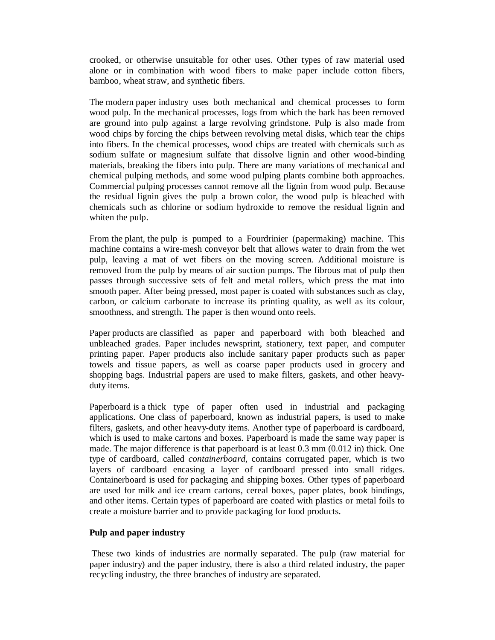crooked, or otherwise unsuitable for other uses. Other types of raw material used alone or in combination with wood fibers to make paper include cotton fibers, bamboo, wheat straw, and synthetic fibers.

The modern paper industry uses both mechanical and chemical processes to form wood pulp. In the mechanical processes, logs from which the bark has been removed are ground into pulp against a large revolving grindstone. Pulp is also made from wood chips by forcing the chips between revolving metal disks, which tear the chips into fibers. In the chemical processes, wood chips are treated with chemicals such as sodium sulfate or magnesium sulfate that dissolve lignin and other wood-binding materials, breaking the fibers into pulp. There are many variations of mechanical and chemical pulping methods, and some wood pulping plants combine both approaches. Commercial pulping processes cannot remove all the lignin from wood pulp. Because the residual lignin gives the pulp a brown color, the wood pulp is bleached with chemicals such as chlorine or sodium hydroxide to remove the residual lignin and whiten the pulp.

From the plant, the pulp is pumped to a Fourdrinier (papermaking) machine. This machine contains a wire-mesh conveyor belt that allows water to drain from the wet pulp, leaving a mat of wet fibers on the moving screen. Additional moisture is removed from the pulp by means of air suction pumps. The fibrous mat of pulp then passes through successive sets of felt and metal rollers, which press the mat into smooth paper. After being pressed, most paper is coated with substances such as clay, carbon, or calcium carbonate to increase its printing quality, as well as its colour, smoothness, and strength. The paper is then wound onto reels.

Paper products are classified as paper and paperboard with both bleached and unbleached grades. Paper includes newsprint, stationery, text paper, and computer printing paper. Paper products also include sanitary paper products such as paper towels and tissue papers, as well as coarse paper products used in grocery and shopping bags. Industrial papers are used to make filters, gaskets, and other heavyduty items.

Paperboard is a thick type of paper often used in industrial and packaging applications. One class of paperboard, known as industrial papers, is used to make filters, gaskets, and other heavy-duty items. Another type of paperboard is cardboard, which is used to make cartons and boxes. Paperboard is made the same way paper is made. The major difference is that paperboard is at least 0.3 mm (0.012 in) thick. One type of cardboard, called *containerboard*, contains corrugated paper, which is two layers of cardboard encasing a layer of cardboard pressed into small ridges. Containerboard is used for packaging and shipping boxes. Other types of paperboard are used for milk and ice cream cartons, cereal boxes, paper plates, book bindings, and other items. Certain types of paperboard are coated with plastics or metal foils to create a moisture barrier and to provide packaging for food products.

## **Pulp and paper industry**

These two kinds of industries are normally separated. The pulp (raw material for paper industry) and the paper industry, there is also a third related industry, the paper recycling industry, the three branches of industry are separated.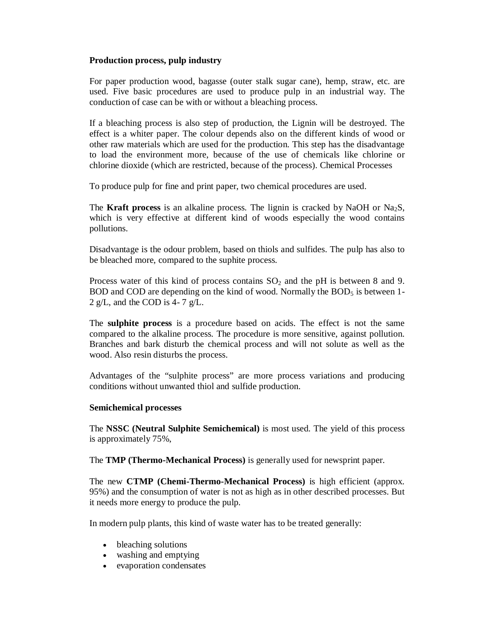## **Production process, pulp industry**

For paper production wood, bagasse (outer stalk sugar cane), hemp, straw, etc. are used. Five basic procedures are used to produce pulp in an industrial way. The conduction of case can be with or without a bleaching process.

If a bleaching process is also step of production, the Lignin will be destroyed. The effect is a whiter paper. The colour depends also on the different kinds of wood or other raw materials which are used for the production. This step has the disadvantage to load the environment more, because of the use of chemicals like chlorine or chlorine dioxide (which are restricted, because of the process). Chemical Processes

To produce pulp for fine and print paper, two chemical procedures are used.

The **Kraft process** is an alkaline process. The lignin is cracked by NaOH or Na<sub>2</sub>S, which is very effective at different kind of woods especially the wood contains pollutions.

Disadvantage is the odour problem, based on thiols and sulfides. The pulp has also to be bleached more, compared to the suphite process.

Process water of this kind of process contains  $SO<sub>2</sub>$  and the pH is between 8 and 9. BOD and COD are depending on the kind of wood. Normally the  $BOD<sub>5</sub>$  is between 1-2 g/L, and the COD is 4- 7 g/L.

The **sulphite process** is a procedure based on acids. The effect is not the same compared to the alkaline process. The procedure is more sensitive, against pollution. Branches and bark disturb the chemical process and will not solute as well as the wood. Also resin disturbs the process.

Advantages of the "sulphite process" are more process variations and producing conditions without unwanted thiol and sulfide production.

## **Semichemical processes**

The **NSSC (Neutral Sulphite Semichemical)** is most used. The yield of this process is approximately 75%,

The **TMP (Thermo-Mechanical Process)** is generally used for newsprint paper.

The new **CTMP (Chemi-Thermo-Mechanical Process)** is high efficient (approx. 95%) and the consumption of water is not as high as in other described processes. But it needs more energy to produce the pulp.

In modern pulp plants, this kind of waste water has to be treated generally:

- bleaching solutions
- washing and emptying
- evaporation condensates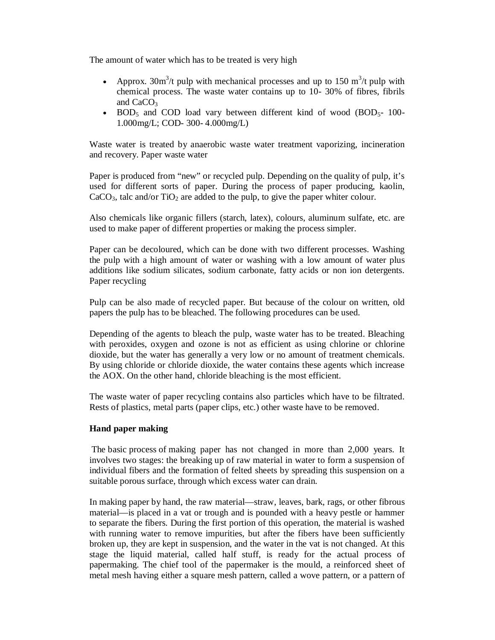The amount of water which has to be treated is very high

- Approx.  $30m^3/t$  pulp with mechanical processes and up to 150 m<sup>3</sup>/t pulp with chemical process. The waste water contains up to 10- 30% of fibres, fibrils and  $CaCO<sub>3</sub>$
- $\bullet$  BOD<sub>5</sub> and COD load vary between different kind of wood (BOD<sub>5</sub>- 100-1.000mg/L; COD- 300- 4.000mg/L)

Waste water is treated by anaerobic waste water treatment vaporizing, incineration and recovery. Paper waste water

Paper is produced from "new" or recycled pulp. Depending on the quality of pulp, it's used for different sorts of paper. During the process of paper producing, kaolin,  $CaCO<sub>3</sub>$ , talc and/or TiO<sub>2</sub> are added to the pulp, to give the paper whiter colour.

Also chemicals like organic fillers (starch, latex), colours, aluminum sulfate, etc. are used to make paper of different properties or making the process simpler.

Paper can be decoloured, which can be done with two different processes. Washing the pulp with a high amount of water or washing with a low amount of water plus additions like sodium silicates, sodium carbonate, fatty acids or non ion detergents. Paper recycling

Pulp can be also made of recycled paper. But because of the colour on written, old papers the pulp has to be bleached. The following procedures can be used.

Depending of the agents to bleach the pulp, waste water has to be treated. Bleaching with peroxides, oxygen and ozone is not as efficient as using chlorine or chlorine dioxide, but the water has generally a very low or no amount of treatment chemicals. By using chloride or chloride dioxide, the water contains these agents which increase the AOX. On the other hand, chloride bleaching is the most efficient.

The waste water of paper recycling contains also particles which have to be filtrated. Rests of plastics, metal parts (paper clips, etc.) other waste have to be removed.

## **Hand paper making**

The basic process of making paper has not changed in more than 2,000 years. It involves two stages: the breaking up of raw material in water to form a suspension of individual fibers and the formation of felted sheets by spreading this suspension on a suitable porous surface, through which excess water can drain.

In making paper by hand, the raw material—straw, leaves, bark, rags, or other fibrous material—is placed in a vat or trough and is pounded with a heavy pestle or hammer to separate the fibers. During the first portion of this operation, the material is washed with running water to remove impurities, but after the fibers have been sufficiently broken up, they are kept in suspension, and the water in the vat is not changed. At this stage the liquid material, called half stuff, is ready for the actual process of papermaking. The chief tool of the papermaker is the mould, a reinforced sheet of metal mesh having either a square mesh pattern, called a wove pattern, or a pattern of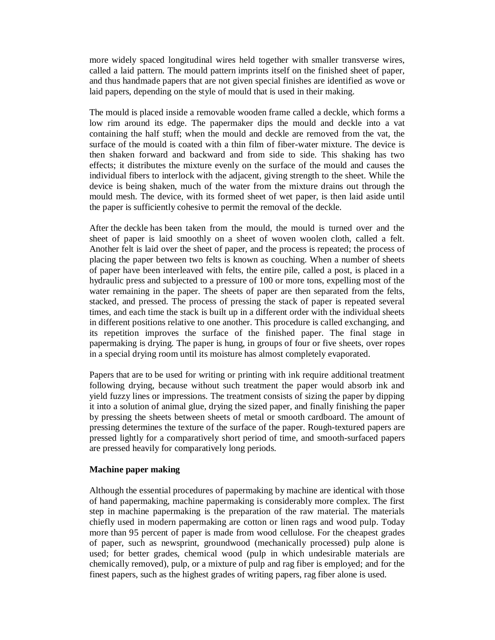more widely spaced longitudinal wires held together with smaller transverse wires, called a laid pattern. The mould pattern imprints itself on the finished sheet of paper, and thus handmade papers that are not given special finishes are identified as wove or laid papers, depending on the style of mould that is used in their making.

The mould is placed inside a removable wooden frame called a deckle, which forms a low rim around its edge. The papermaker dips the mould and deckle into a vat containing the half stuff; when the mould and deckle are removed from the vat, the surface of the mould is coated with a thin film of fiber-water mixture. The device is then shaken forward and backward and from side to side. This shaking has two effects; it distributes the mixture evenly on the surface of the mould and causes the individual fibers to interlock with the adjacent, giving strength to the sheet. While the device is being shaken, much of the water from the mixture drains out through the mould mesh. The device, with its formed sheet of wet paper, is then laid aside until the paper is sufficiently cohesive to permit the removal of the deckle.

After the deckle has been taken from the mould, the mould is turned over and the sheet of paper is laid smoothly on a sheet of woven woolen cloth, called a felt. Another felt is laid over the sheet of paper, and the process is repeated; the process of placing the paper between two felts is known as couching. When a number of sheets of paper have been interleaved with felts, the entire pile, called a post, is placed in a hydraulic press and subjected to a pressure of 100 or more tons, expelling most of the water remaining in the paper. The sheets of paper are then separated from the felts, stacked, and pressed. The process of pressing the stack of paper is repeated several times, and each time the stack is built up in a different order with the individual sheets in different positions relative to one another. This procedure is called exchanging, and its repetition improves the surface of the finished paper. The final stage in papermaking is drying. The paper is hung, in groups of four or five sheets, over ropes in a special drying room until its moisture has almost completely evaporated.

Papers that are to be used for writing or printing with ink require additional treatment following drying, because without such treatment the paper would absorb ink and yield fuzzy lines or impressions. The treatment consists of sizing the paper by dipping it into a solution of animal glue, drying the sized paper, and finally finishing the paper by pressing the sheets between sheets of metal or smooth cardboard. The amount of pressing determines the texture of the surface of the paper. Rough-textured papers are pressed lightly for a comparatively short period of time, and smooth-surfaced papers are pressed heavily for comparatively long periods.

#### **Machine paper making**

Although the essential procedures of papermaking by machine are identical with those of hand papermaking, machine papermaking is considerably more complex. The first step in machine papermaking is the preparation of the raw material. The materials chiefly used in modern papermaking are cotton or linen rags and wood pulp. Today more than 95 percent of paper is made from wood cellulose. For the cheapest grades of paper, such as newsprint, groundwood (mechanically processed) pulp alone is used; for better grades, chemical wood (pulp in which undesirable materials are chemically removed), pulp, or a mixture of pulp and rag fiber is employed; and for the finest papers, such as the highest grades of writing papers, rag fiber alone is used.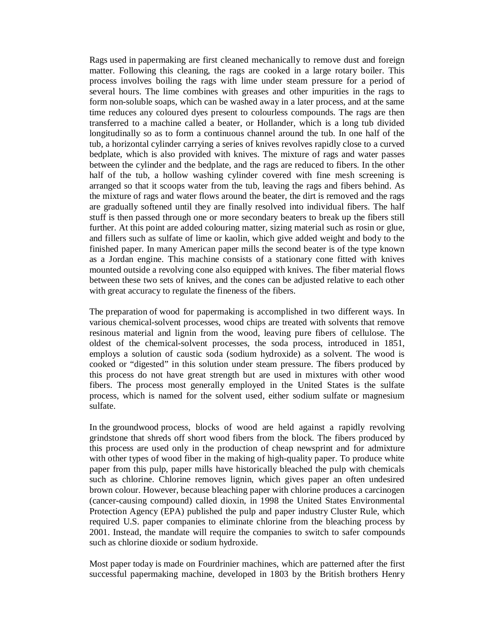Rags used in papermaking are first cleaned mechanically to remove dust and foreign matter. Following this cleaning, the rags are cooked in a large rotary boiler. This process involves boiling the rags with lime under steam pressure for a period of several hours. The lime combines with greases and other impurities in the rags to form non-soluble soaps, which can be washed away in a later process, and at the same time reduces any coloured dyes present to colourless compounds. The rags are then transferred to a machine called a beater, or Hollander, which is a long tub divided longitudinally so as to form a continuous channel around the tub. In one half of the tub, a horizontal cylinder carrying a series of knives revolves rapidly close to a curved bedplate, which is also provided with knives. The mixture of rags and water passes between the cylinder and the bedplate, and the rags are reduced to fibers. In the other half of the tub, a hollow washing cylinder covered with fine mesh screening is arranged so that it scoops water from the tub, leaving the rags and fibers behind. As the mixture of rags and water flows around the beater, the dirt is removed and the rags are gradually softened until they are finally resolved into individual fibers. The half stuff is then passed through one or more secondary beaters to break up the fibers still further. At this point are added colouring matter, sizing material such as rosin or glue, and fillers such as sulfate of lime or kaolin, which give added weight and body to the finished paper. In many American paper mills the second beater is of the type known as a Jordan engine. This machine consists of a stationary cone fitted with knives mounted outside a revolving cone also equipped with knives. The fiber material flows between these two sets of knives, and the cones can be adjusted relative to each other with great accuracy to regulate the fineness of the fibers.

The preparation of wood for papermaking is accomplished in two different ways. In various chemical-solvent processes, wood chips are treated with solvents that remove resinous material and lignin from the wood, leaving pure fibers of cellulose. The oldest of the chemical-solvent processes, the soda process, introduced in 1851, employs a solution of caustic soda (sodium hydroxide) as a solvent. The wood is cooked or "digested" in this solution under steam pressure. The fibers produced by this process do not have great strength but are used in mixtures with other wood fibers. The process most generally employed in the United States is the sulfate process, which is named for the solvent used, either sodium sulfate or magnesium sulfate.

In the groundwood process, blocks of wood are held against a rapidly revolving grindstone that shreds off short wood fibers from the block. The fibers produced by this process are used only in the production of cheap newsprint and for admixture with other types of wood fiber in the making of high-quality paper. To produce white paper from this pulp, paper mills have historically bleached the pulp with chemicals such as chlorine. Chlorine removes lignin, which gives paper an often undesired brown colour. However, because bleaching paper with chlorine produces a carcinogen (cancer-causing compound) called dioxin, in 1998 the United States Environmental Protection Agency (EPA) published the pulp and paper industry Cluster Rule, which required U.S. paper companies to eliminate chlorine from the bleaching process by 2001. Instead, the mandate will require the companies to switch to safer compounds such as chlorine dioxide or sodium hydroxide.

Most paper today is made on Fourdrinier machines, which are patterned after the first successful papermaking machine, developed in 1803 by the British brothers Henry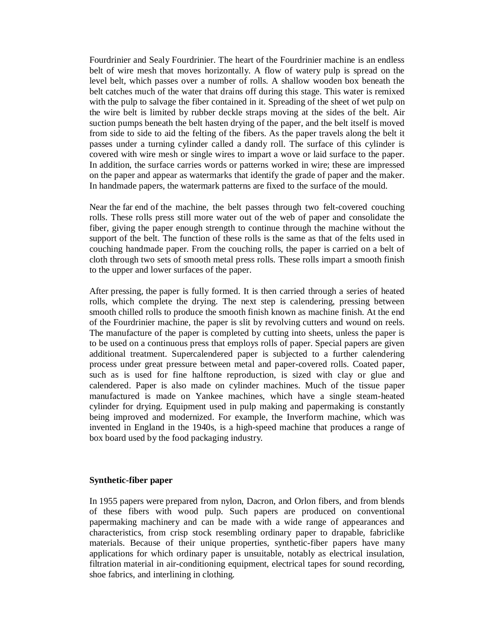Fourdrinier and Sealy Fourdrinier. The heart of the Fourdrinier machine is an endless belt of wire mesh that moves horizontally. A flow of watery pulp is spread on the level belt, which passes over a number of rolls. A shallow wooden box beneath the belt catches much of the water that drains off during this stage. This water is remixed with the pulp to salvage the fiber contained in it. Spreading of the sheet of wet pulp on the wire belt is limited by rubber deckle straps moving at the sides of the belt. Air suction pumps beneath the belt hasten drying of the paper, and the belt itself is moved from side to side to aid the felting of the fibers. As the paper travels along the belt it passes under a turning cylinder called a dandy roll. The surface of this cylinder is covered with wire mesh or single wires to impart a wove or laid surface to the paper. In addition, the surface carries words or patterns worked in wire; these are impressed on the paper and appear as watermarks that identify the grade of paper and the maker. In handmade papers, the watermark patterns are fixed to the surface of the mould.

Near the far end of the machine, the belt passes through two felt-covered couching rolls. These rolls press still more water out of the web of paper and consolidate the fiber, giving the paper enough strength to continue through the machine without the support of the belt. The function of these rolls is the same as that of the felts used in couching handmade paper. From the couching rolls, the paper is carried on a belt of cloth through two sets of smooth metal press rolls. These rolls impart a smooth finish to the upper and lower surfaces of the paper.

After pressing, the paper is fully formed. It is then carried through a series of heated rolls, which complete the drying. The next step is calendering, pressing between smooth chilled rolls to produce the smooth finish known as machine finish. At the end of the Fourdrinier machine, the paper is slit by revolving cutters and wound on reels. The manufacture of the paper is completed by cutting into sheets, unless the paper is to be used on a continuous press that employs rolls of paper. Special papers are given additional treatment. Supercalendered paper is subjected to a further calendering process under great pressure between metal and paper-covered rolls. Coated paper, such as is used for fine halftone reproduction, is sized with clay or glue and calendered. Paper is also made on cylinder machines. Much of the tissue paper manufactured is made on Yankee machines, which have a single steam-heated cylinder for drying. Equipment used in pulp making and papermaking is constantly being improved and modernized. For example, the Inverform machine, which was invented in England in the 1940s, is a high-speed machine that produces a range of box board used by the food packaging industry.

#### **Synthetic-fiber paper**

In 1955 papers were prepared from nylon, Dacron, and Orlon fibers, and from blends of these fibers with wood pulp. Such papers are produced on conventional papermaking machinery and can be made with a wide range of appearances and characteristics, from crisp stock resembling ordinary paper to drapable, fabriclike materials. Because of their unique properties, synthetic-fiber papers have many applications for which ordinary paper is unsuitable, notably as electrical insulation, filtration material in air-conditioning equipment, electrical tapes for sound recording, shoe fabrics, and interlining in clothing.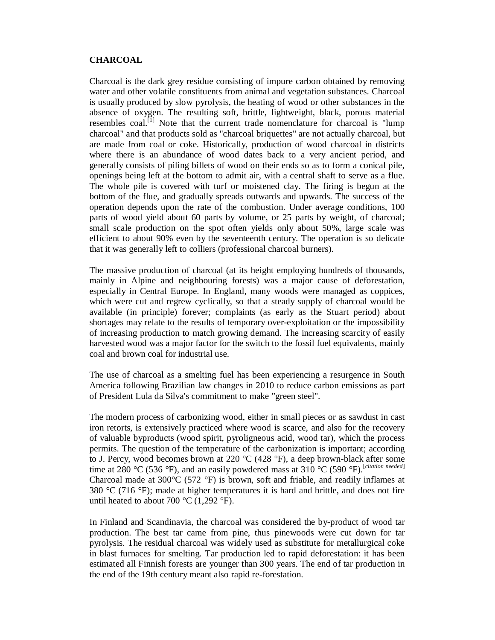#### **CHARCOAL**

Charcoal is the dark grey residue consisting of impure carbon obtained by removing water and other volatile constituents from animal and vegetation substances. Charcoal is usually produced by slow pyrolysis, the heating of wood or other substances in the absence of oxygen. The resulting soft, brittle, lightweight, black, porous material resembles coal.<sup>[1]</sup> Note that the current trade nomenclature for charcoal is "lump charcoal" and that products sold as "charcoal briquettes" are not actually charcoal, but are made from coal or coke. Historically, production of wood charcoal in districts where there is an abundance of wood dates back to a very ancient period, and generally consists of piling billets of wood on their ends so as to form a conical pile, openings being left at the bottom to admit air, with a central shaft to serve as a flue. The whole pile is covered with turf or moistened clay. The firing is begun at the bottom of the flue, and gradually spreads outwards and upwards. The success of the operation depends upon the rate of the combustion. Under average conditions, 100 parts of wood yield about 60 parts by volume, or 25 parts by weight, of charcoal; small scale production on the spot often yields only about 50%, large scale was efficient to about 90% even by the seventeenth century. The operation is so delicate that it was generally left to colliers (professional charcoal burners).

The massive production of charcoal (at its height employing hundreds of thousands, mainly in Alpine and neighbouring forests) was a major cause of deforestation, especially in Central Europe. In England, many woods were managed as coppices, which were cut and regrew cyclically, so that a steady supply of charcoal would be available (in principle) forever; complaints (as early as the Stuart period) about shortages may relate to the results of temporary over-exploitation or the impossibility of increasing production to match growing demand. The increasing scarcity of easily harvested wood was a major factor for the switch to the fossil fuel equivalents, mainly coal and brown coal for industrial use.

The use of charcoal as a smelting fuel has been experiencing a resurgence in South America following Brazilian law changes in 2010 to reduce carbon emissions as part of President Lula da Silva's commitment to make "green steel".

The modern process of carbonizing wood, either in small pieces or as sawdust in cast iron retorts, is extensively practiced where wood is scarce, and also for the recovery of valuable byproducts (wood spirit, pyroligneous acid, wood tar), which the process permits. The question of the temperature of the carbonization is important; according to J. Percy, wood becomes brown at 220 °C (428 °F), a deep brown-black after some time at 280 °C (536 °F), and an easily powdered mass at 310 °C (590 °F).<sup>[citation needed]</sup> Charcoal made at  $300^{\circ}$ C (572  $^{\circ}$ F) is brown, soft and friable, and readily inflames at 380  $\degree$ C (716  $\degree$ F); made at higher temperatures it is hard and brittle, and does not fire until heated to about 700  $^{\circ}$ C (1,292  $^{\circ}$ F).

In Finland and Scandinavia, the charcoal was considered the by-product of wood tar production. The best tar came from pine, thus pinewoods were cut down for tar pyrolysis. The residual charcoal was widely used as substitute for metallurgical coke in blast furnaces for smelting. Tar production led to rapid deforestation: it has been estimated all Finnish forests are younger than 300 years. The end of tar production in the end of the 19th century meant also rapid re-forestation.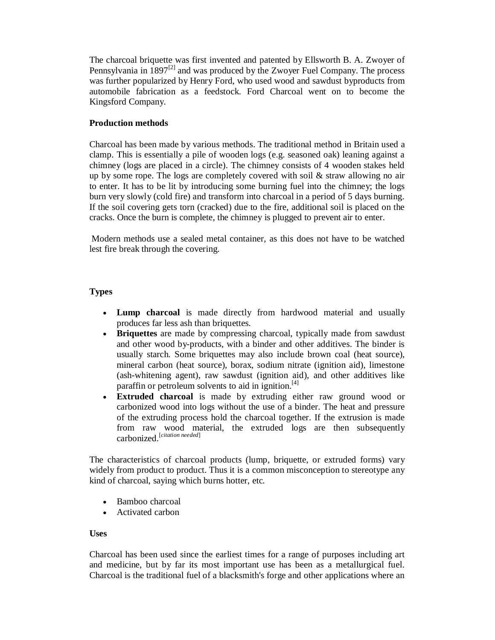The charcoal briquette was first invented and patented by Ellsworth B. A. Zwoyer of Pennsylvania in  $1897^{[2]}$  and was produced by the Zwoyer Fuel Company. The process was further popularized by Henry Ford, who used wood and sawdust byproducts from automobile fabrication as a feedstock. Ford Charcoal went on to become the Kingsford Company.

## **Production methods**

Charcoal has been made by various methods. The traditional method in Britain used a clamp. This is essentially a pile of wooden logs (e.g. seasoned oak) leaning against a chimney (logs are placed in a circle). The chimney consists of 4 wooden stakes held up by some rope. The logs are completely covered with soil  $\&$  straw allowing no air to enter. It has to be lit by introducing some burning fuel into the chimney; the logs burn very slowly (cold fire) and transform into charcoal in a period of 5 days burning. If the soil covering gets torn (cracked) due to the fire, additional soil is placed on the cracks. Once the burn is complete, the chimney is plugged to prevent air to enter.

Modern methods use a sealed metal container, as this does not have to be watched lest fire break through the covering.

## **Types**

- **Lump charcoal** is made directly from hardwood material and usually produces far less ash than briquettes.
- **Briquettes** are made by compressing charcoal, typically made from sawdust and other wood by-products, with a binder and other additives. The binder is usually starch. Some briquettes may also include brown coal (heat source), mineral carbon (heat source), borax, sodium nitrate (ignition aid), limestone (ash-whitening agent), raw sawdust (ignition aid), and other additives like paraffin or petroleum solvents to aid in ignition.<sup>[4]</sup>
- **Extruded charcoal** is made by extruding either raw ground wood or carbonized wood into logs without the use of a binder. The heat and pressure of the extruding process hold the charcoal together. If the extrusion is made from raw wood material, the extruded logs are then subsequently carbonized.[*citation needed*]

The characteristics of charcoal products (lump, briquette, or extruded forms) vary widely from product to product. Thus it is a common misconception to stereotype any kind of charcoal, saying which burns hotter, etc.

- Bamboo charcoal
- Activated carbon

## **Uses**

Charcoal has been used since the earliest times for a range of purposes including art and medicine, but by far its most important use has been as a metallurgical fuel. Charcoal is the traditional fuel of a blacksmith's forge and other applications where an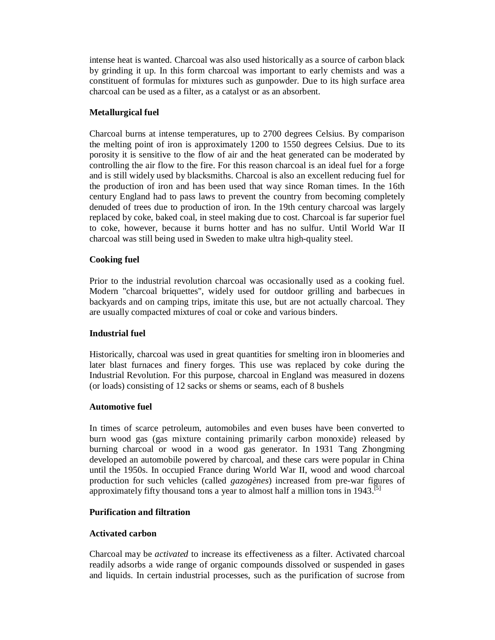intense heat is wanted. Charcoal was also used historically as a source of carbon black by grinding it up. In this form charcoal was important to early chemists and was a constituent of formulas for mixtures such as gunpowder. Due to its high surface area charcoal can be used as a filter, as a catalyst or as an absorbent.

## **Metallurgical fuel**

Charcoal burns at intense temperatures, up to 2700 degrees Celsius. By comparison the melting point of iron is approximately 1200 to 1550 degrees Celsius. Due to its porosity it is sensitive to the flow of air and the heat generated can be moderated by controlling the air flow to the fire. For this reason charcoal is an ideal fuel for a forge and is still widely used by blacksmiths. Charcoal is also an excellent reducing fuel for the production of iron and has been used that way since Roman times. In the 16th century England had to pass laws to prevent the country from becoming completely denuded of trees due to production of iron. In the 19th century charcoal was largely replaced by coke, baked coal, in steel making due to cost. Charcoal is far superior fuel to coke, however, because it burns hotter and has no sulfur. Until World War II charcoal was still being used in Sweden to make ultra high-quality steel.

## **Cooking fuel**

Prior to the industrial revolution charcoal was occasionally used as a cooking fuel. Modern "charcoal briquettes", widely used for outdoor grilling and barbecues in backyards and on camping trips, imitate this use, but are not actually charcoal. They are usually compacted mixtures of coal or coke and various binders.

## **Industrial fuel**

Historically, charcoal was used in great quantities for smelting iron in bloomeries and later blast furnaces and finery forges. This use was replaced by coke during the Industrial Revolution. For this purpose, charcoal in England was measured in dozens (or loads) consisting of 12 sacks or shems or seams, each of 8 bushels

## **Automotive fuel**

In times of scarce petroleum, automobiles and even buses have been converted to burn wood gas (gas mixture containing primarily carbon monoxide) released by burning charcoal or wood in a wood gas generator. In 1931 Tang Zhongming developed an automobile powered by charcoal, and these cars were popular in China until the 1950s. In occupied France during World War II, wood and wood charcoal production for such vehicles (called *gazogènes*) increased from pre-war figures of approximately fifty thousand tons a year to almost half a million tons in 1943.<sup>[5]</sup>

## **Purification and filtration**

## **Activated carbon**

Charcoal may be *activated* to increase its effectiveness as a filter. Activated charcoal readily adsorbs a wide range of organic compounds dissolved or suspended in gases and liquids. In certain industrial processes, such as the purification of sucrose from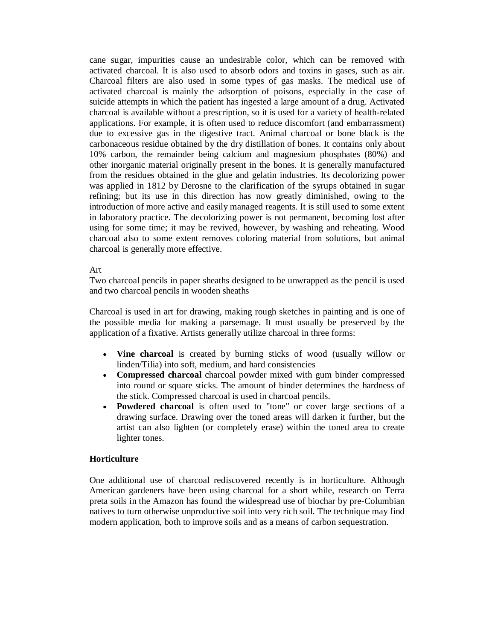cane sugar, impurities cause an undesirable color, which can be removed with activated charcoal. It is also used to absorb odors and toxins in gases, such as air. Charcoal filters are also used in some types of gas masks. The medical use of activated charcoal is mainly the adsorption of poisons, especially in the case of suicide attempts in which the patient has ingested a large amount of a drug. Activated charcoal is available without a prescription, so it is used for a variety of health-related applications. For example, it is often used to reduce discomfort (and embarrassment) due to excessive gas in the digestive tract. Animal charcoal or bone black is the carbonaceous residue obtained by the dry distillation of bones. It contains only about 10% carbon, the remainder being calcium and magnesium phosphates (80%) and other inorganic material originally present in the bones. It is generally manufactured from the residues obtained in the glue and gelatin industries. Its decolorizing power was applied in 1812 by Derosne to the clarification of the syrups obtained in sugar refining; but its use in this direction has now greatly diminished, owing to the introduction of more active and easily managed reagents. It is still used to some extent in laboratory practice. The decolorizing power is not permanent, becoming lost after using for some time; it may be revived, however, by washing and reheating. Wood charcoal also to some extent removes coloring material from solutions, but animal charcoal is generally more effective.

#### Art

Two charcoal pencils in paper sheaths designed to be unwrapped as the pencil is used and two charcoal pencils in wooden sheaths

Charcoal is used in art for drawing, making rough sketches in painting and is one of the possible media for making a parsemage. It must usually be preserved by the application of a fixative. Artists generally utilize charcoal in three forms:

- **Vine charcoal** is created by burning sticks of wood (usually willow or linden/Tilia) into soft, medium, and hard consistencies
- **Compressed charcoal** charcoal powder mixed with gum binder compressed into round or square sticks. The amount of binder determines the hardness of the stick. Compressed charcoal is used in charcoal pencils.
- **Powdered charcoal** is often used to "tone" or cover large sections of a drawing surface. Drawing over the toned areas will darken it further, but the artist can also lighten (or completely erase) within the toned area to create lighter tones.

#### **Horticulture**

One additional use of charcoal rediscovered recently is in horticulture. Although American gardeners have been using charcoal for a short while, research on Terra preta soils in the Amazon has found the widespread use of biochar by pre-Columbian natives to turn otherwise unproductive soil into very rich soil. The technique may find modern application, both to improve soils and as a means of carbon sequestration.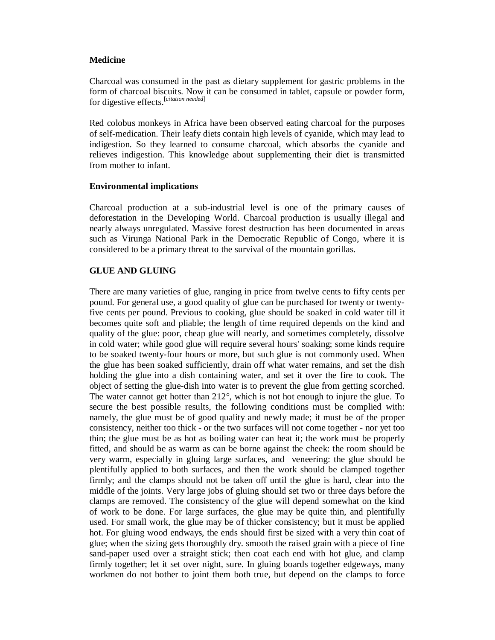#### **Medicine**

Charcoal was consumed in the past as dietary supplement for gastric problems in the form of charcoal biscuits. Now it can be consumed in tablet, capsule or powder form, for digestive effects.[*citation needed*]

Red colobus monkeys in Africa have been observed eating charcoal for the purposes of self-medication. Their leafy diets contain high levels of cyanide, which may lead to indigestion. So they learned to consume charcoal, which absorbs the cyanide and relieves indigestion. This knowledge about supplementing their diet is transmitted from mother to infant.

#### **Environmental implications**

Charcoal production at a sub-industrial level is one of the primary causes of deforestation in the Developing World. Charcoal production is usually illegal and nearly always unregulated. Massive forest destruction has been documented in areas such as Virunga National Park in the Democratic Republic of Congo, where it is considered to be a primary threat to the survival of the mountain gorillas.

## **GLUE AND GLUING**

There are many varieties of glue, ranging in price from twelve cents to fifty cents per pound. For general use, a good quality of glue can be purchased for twenty or twentyfive cents per pound. Previous to cooking, glue should be soaked in cold water till it becomes quite soft and pliable; the length of time required depends on the kind and quality of the glue: poor, cheap glue will nearly, and sometimes completely, dissolve in cold water; while good glue will require several hours' soaking; some kinds require to be soaked twenty-four hours or more, but such glue is not commonly used. When the glue has been soaked sufficiently, drain off what water remains, and set the dish holding the glue into a dish containing water, and set it over the fire to cook. The object of setting the glue-dish into water is to prevent the glue from getting scorched. The water cannot get hotter than 212°, which is not hot enough to injure the glue. To secure the best possible results, the following conditions must be complied with: namely, the glue must be of good quality and newly made; it must be of the proper consistency, neither too thick - or the two surfaces will not come together - nor yet too thin; the glue must be as hot as boiling water can heat it; the work must be properly fitted, and should be as warm as can be borne against the cheek: the room should be very warm, especially in gluing large surfaces, and veneering: the glue should be plentifully applied to both surfaces, and then the work should be clamped together firmly; and the clamps should not be taken off until the glue is hard, clear into the middle of the joints. Very large jobs of gluing should set two or three days before the clamps are removed. The consistency of the glue will depend somewhat on the kind of work to be done. For large surfaces, the glue may be quite thin, and plentifully used. For small work, the glue may be of thicker consistency; but it must be applied hot. For gluing wood endways, the ends should first be sized with a very thin coat of glue; when the sizing gets thoroughly dry. smooth the raised grain with a piece of fine sand-paper used over a straight stick; then coat each end with hot glue, and clamp firmly together; let it set over night, sure. In gluing boards together edgeways, many workmen do not bother to joint them both true, but depend on the clamps to force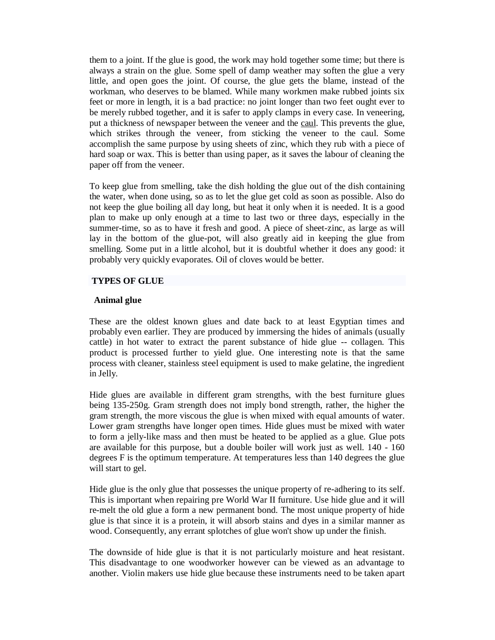them to a joint. If the glue is good, the work may hold together some time; but there is always a strain on the glue. Some spell of damp weather may soften the glue a very little, and open goes the joint. Of course, the glue gets the blame, instead of the workman, who deserves to be blamed. While many workmen make rubbed joints six feet or more in length, it is a bad practice: no joint longer than two feet ought ever to be merely rubbed together, and it is safer to apply clamps in every case. In veneering, put a thickness of newspaper between the veneer and the caul. This prevents the glue, which strikes through the veneer, from sticking the veneer to the caul. Some accomplish the same purpose by using sheets of zinc, which they rub with a piece of hard soap or wax. This is better than using paper, as it saves the labour of cleaning the paper off from the veneer.

To keep glue from smelling, take the dish holding the glue out of the dish containing the water, when done using, so as to let the glue get cold as soon as possible. Also do not keep the glue boiling all day long, but heat it only when it is needed. It is a good plan to make up only enough at a time to last two or three days, especially in the summer-time, so as to have it fresh and good. A piece of sheet-zinc, as large as will lay in the bottom of the glue-pot, will also greatly aid in keeping the glue from smelling. Some put in a little alcohol, but it is doubtful whether it does any good: it probably very quickly evaporates. Oil of cloves would be better.

#### **TYPES OF GLUE**

#### **Animal glue**

These are the oldest known glues and date back to at least Egyptian times and probably even earlier. They are produced by immersing the hides of animals (usually cattle) in hot water to extract the parent substance of hide glue -- collagen. This product is processed further to yield glue. One interesting note is that the same process with cleaner, stainless steel equipment is used to make gelatine, the ingredient in Jelly.

Hide glues are available in different gram strengths, with the best furniture glues being 135-250g. Gram strength does not imply bond strength, rather, the higher the gram strength, the more viscous the glue is when mixed with equal amounts of water. Lower gram strengths have longer open times. Hide glues must be mixed with water to form a jelly-like mass and then must be heated to be applied as a glue. Glue pots are available for this purpose, but a double boiler will work just as well. 140 - 160 degrees F is the optimum temperature. At temperatures less than 140 degrees the glue will start to gel.

Hide glue is the only glue that possesses the unique property of re-adhering to its self. This is important when repairing pre World War II furniture. Use hide glue and it will re-melt the old glue a form a new permanent bond. The most unique property of hide glue is that since it is a protein, it will absorb stains and dyes in a similar manner as wood. Consequently, any errant splotches of glue won't show up under the finish.

The downside of hide glue is that it is not particularly moisture and heat resistant. This disadvantage to one woodworker however can be viewed as an advantage to another. Violin makers use hide glue because these instruments need to be taken apart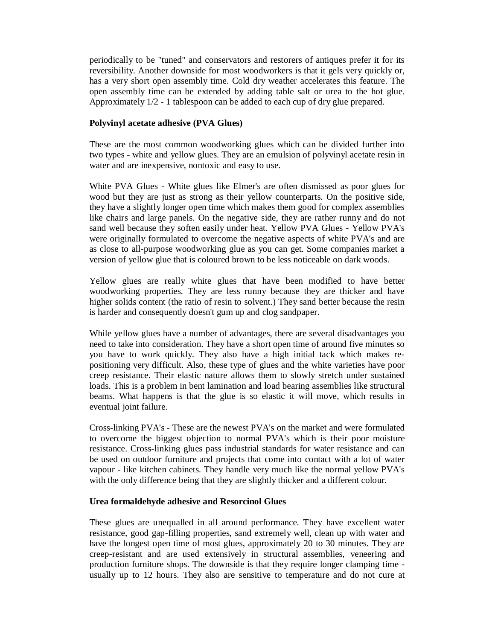periodically to be "tuned" and conservators and restorers of antiques prefer it for its reversibility. Another downside for most woodworkers is that it gels very quickly or, has a very short open assembly time. Cold dry weather accelerates this feature. The open assembly time can be extended by adding table salt or urea to the hot glue. Approximately 1/2 - 1 tablespoon can be added to each cup of dry glue prepared.

#### **Polyvinyl acetate adhesive (PVA Glues)**

These are the most common woodworking glues which can be divided further into two types - white and yellow glues. They are an emulsion of polyvinyl acetate resin in water and are inexpensive, nontoxic and easy to use.

White PVA Glues - White glues like Elmer's are often dismissed as poor glues for wood but they are just as strong as their yellow counterparts. On the positive side, they have a slightly longer open time which makes them good for complex assemblies like chairs and large panels. On the negative side, they are rather runny and do not sand well because they soften easily under heat. Yellow PVA Glues - Yellow PVA's were originally formulated to overcome the negative aspects of white PVA's and are as close to all-purpose woodworking glue as you can get. Some companies market a version of yellow glue that is coloured brown to be less noticeable on dark woods.

Yellow glues are really white glues that have been modified to have better woodworking properties. They are less runny because they are thicker and have higher solids content (the ratio of resin to solvent.) They sand better because the resin is harder and consequently doesn't gum up and clog sandpaper.

While yellow glues have a number of advantages, there are several disadvantages you need to take into consideration. They have a short open time of around five minutes so you have to work quickly. They also have a high initial tack which makes repositioning very difficult. Also, these type of glues and the white varieties have poor creep resistance. Their elastic nature allows them to slowly stretch under sustained loads. This is a problem in bent lamination and load bearing assemblies like structural beams. What happens is that the glue is so elastic it will move, which results in eventual joint failure.

Cross-linking PVA's - These are the newest PVA's on the market and were formulated to overcome the biggest objection to normal PVA's which is their poor moisture resistance. Cross-linking glues pass industrial standards for water resistance and can be used on outdoor furniture and projects that come into contact with a lot of water vapour - like kitchen cabinets. They handle very much like the normal yellow PVA's with the only difference being that they are slightly thicker and a different colour.

#### **Urea formaldehyde adhesive and Resorcinol Glues**

These glues are unequalled in all around performance. They have excellent water resistance, good gap-filling properties, sand extremely well, clean up with water and have the longest open time of most glues, approximately 20 to 30 minutes. They are creep-resistant and are used extensively in structural assemblies, veneering and production furniture shops. The downside is that they require longer clamping time usually up to 12 hours. They also are sensitive to temperature and do not cure at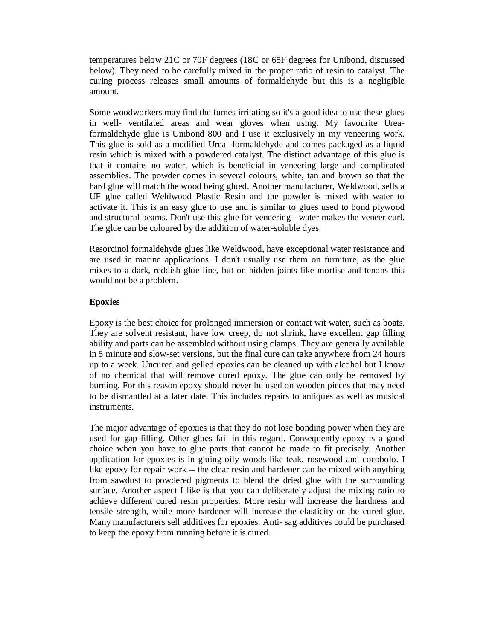temperatures below 21C or 70F degrees (18C or 65F degrees for Unibond, discussed below). They need to be carefully mixed in the proper ratio of resin to catalyst. The curing process releases small amounts of formaldehyde but this is a negligible amount.

Some woodworkers may find the fumes irritating so it's a good idea to use these glues in well- ventilated areas and wear gloves when using. My favourite Ureaformaldehyde glue is Unibond 800 and I use it exclusively in my veneering work. This glue is sold as a modified Urea -formaldehyde and comes packaged as a liquid resin which is mixed with a powdered catalyst. The distinct advantage of this glue is that it contains no water, which is beneficial in veneering large and complicated assemblies. The powder comes in several colours, white, tan and brown so that the hard glue will match the wood being glued. Another manufacturer, Weldwood, sells a UF glue called Weldwood Plastic Resin and the powder is mixed with water to activate it. This is an easy glue to use and is similar to glues used to bond plywood and structural beams. Don't use this glue for veneering - water makes the veneer curl. The glue can be coloured by the addition of water-soluble dyes.

Resorcinol formaldehyde glues like Weldwood, have exceptional water resistance and are used in marine applications. I don't usually use them on furniture, as the glue mixes to a dark, reddish glue line, but on hidden joints like mortise and tenons this would not be a problem.

#### **Epoxies**

Epoxy is the best choice for prolonged immersion or contact wit water, such as boats. They are solvent resistant, have low creep, do not shrink, have excellent gap filling ability and parts can be assembled without using clamps. They are generally available in 5 minute and slow-set versions, but the final cure can take anywhere from 24 hours up to a week. Uncured and gelled epoxies can be cleaned up with alcohol but I know of no chemical that will remove cured epoxy. The glue can only be removed by burning. For this reason epoxy should never be used on wooden pieces that may need to be dismantled at a later date. This includes repairs to antiques as well as musical instruments.

The major advantage of epoxies is that they do not lose bonding power when they are used for gap-filling. Other glues fail in this regard. Consequently epoxy is a good choice when you have to glue parts that cannot be made to fit precisely. Another application for epoxies is in gluing oily woods like teak, rosewood and cocobolo. I like epoxy for repair work -- the clear resin and hardener can be mixed with anything from sawdust to powdered pigments to blend the dried glue with the surrounding surface. Another aspect I like is that you can deliberately adjust the mixing ratio to achieve different cured resin properties. More resin will increase the hardness and tensile strength, while more hardener will increase the elasticity or the cured glue. Many manufacturers sell additives for epoxies. Anti- sag additives could be purchased to keep the epoxy from running before it is cured.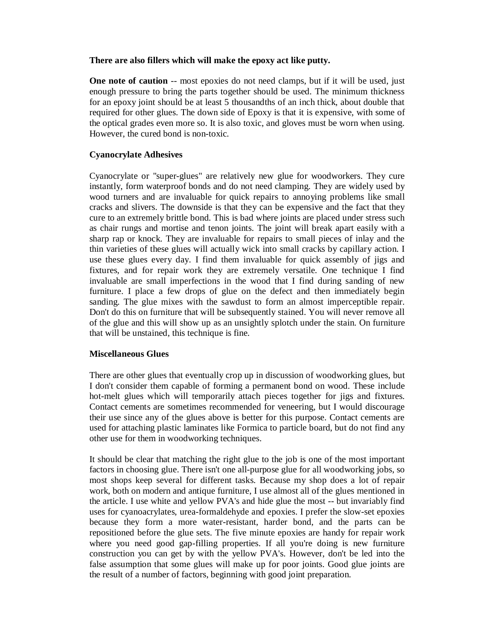## **There are also fillers which will make the epoxy act like putty.**

**One note of caution** -- most epoxies do not need clamps, but if it will be used, just enough pressure to bring the parts together should be used. The minimum thickness for an epoxy joint should be at least 5 thousandths of an inch thick, about double that required for other glues. The down side of Epoxy is that it is expensive, with some of the optical grades even more so. It is also toxic, and gloves must be worn when using. However, the cured bond is non-toxic.

# **Cyanocrylate Adhesives**

Cyanocrylate or "super-glues" are relatively new glue for woodworkers. They cure instantly, form waterproof bonds and do not need clamping. They are widely used by wood turners and are invaluable for quick repairs to annoying problems like small cracks and slivers. The downside is that they can be expensive and the fact that they cure to an extremely brittle bond. This is bad where joints are placed under stress such as chair rungs and mortise and tenon joints. The joint will break apart easily with a sharp rap or knock. They are invaluable for repairs to small pieces of inlay and the thin varieties of these glues will actually wick into small cracks by capillary action. I use these glues every day. I find them invaluable for quick assembly of jigs and fixtures, and for repair work they are extremely versatile. One technique I find invaluable are small imperfections in the wood that I find during sanding of new furniture. I place a few drops of glue on the defect and then immediately begin sanding. The glue mixes with the sawdust to form an almost imperceptible repair. Don't do this on furniture that will be subsequently stained. You will never remove all of the glue and this will show up as an unsightly splotch under the stain. On furniture that will be unstained, this technique is fine.

# **Miscellaneous Glues**

There are other glues that eventually crop up in discussion of woodworking glues, but I don't consider them capable of forming a permanent bond on wood. These include hot-melt glues which will temporarily attach pieces together for jigs and fixtures. Contact cements are sometimes recommended for veneering, but I would discourage their use since any of the glues above is better for this purpose. Contact cements are used for attaching plastic laminates like Formica to particle board, but do not find any other use for them in woodworking techniques.

It should be clear that matching the right glue to the job is one of the most important factors in choosing glue. There isn't one all-purpose glue for all woodworking jobs, so most shops keep several for different tasks. Because my shop does a lot of repair work, both on modern and antique furniture, I use almost all of the glues mentioned in the article. I use white and yellow PVA's and hide glue the most -- but invariably find uses for cyanoacrylates, urea-formaldehyde and epoxies. I prefer the slow-set epoxies because they form a more water-resistant, harder bond, and the parts can be repositioned before the glue sets. The five minute epoxies are handy for repair work where you need good gap-filling properties. If all you're doing is new furniture construction you can get by with the yellow PVA's. However, don't be led into the false assumption that some glues will make up for poor joints. Good glue joints are the result of a number of factors, beginning with good joint preparation.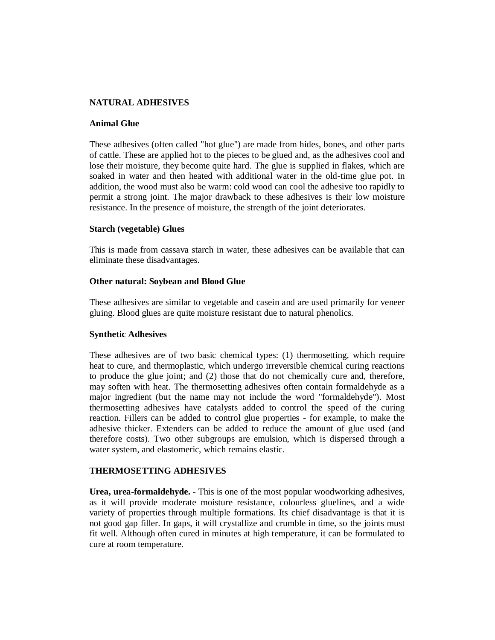## **NATURAL ADHESIVES**

#### **Animal Glue**

These adhesives (often called "hot glue") are made from hides, bones, and other parts of cattle. These are applied hot to the pieces to be glued and, as the adhesives cool and lose their moisture, they become quite hard. The glue is supplied in flakes, which are soaked in water and then heated with additional water in the old-time glue pot. In addition, the wood must also be warm: cold wood can cool the adhesive too rapidly to permit a strong joint. The major drawback to these adhesives is their low moisture resistance. In the presence of moisture, the strength of the joint deteriorates.

#### **Starch (vegetable) Glues**

This is made from cassava starch in water, these adhesives can be available that can eliminate these disadvantages.

#### **Other natural: Soybean and Blood Glue**

These adhesives are similar to vegetable and casein and are used primarily for veneer gluing. Blood glues are quite moisture resistant due to natural phenolics.

#### **Synthetic Adhesives**

These adhesives are of two basic chemical types: (1) thermosetting, which require heat to cure, and thermoplastic, which undergo irreversible chemical curing reactions to produce the glue joint; and (2) those that do not chemically cure and, therefore, may soften with heat. The thermosetting adhesives often contain formaldehyde as a major ingredient (but the name may not include the word "formaldehyde"). Most thermosetting adhesives have catalysts added to control the speed of the curing reaction. Fillers can be added to control glue properties - for example, to make the adhesive thicker. Extenders can be added to reduce the amount of glue used (and therefore costs). Two other subgroups are emulsion, which is dispersed through a water system, and elastomeric, which remains elastic.

## **THERMOSETTING ADHESIVES**

**Urea, urea-formaldehyde.** - This is one of the most popular woodworking adhesives, as it will provide moderate moisture resistance, colourless gluelines, and a wide variety of properties through multiple formations. Its chief disadvantage is that it is not good gap filler. In gaps, it will crystallize and crumble in time, so the joints must fit well. Although often cured in minutes at high temperature, it can be formulated to cure at room temperature.